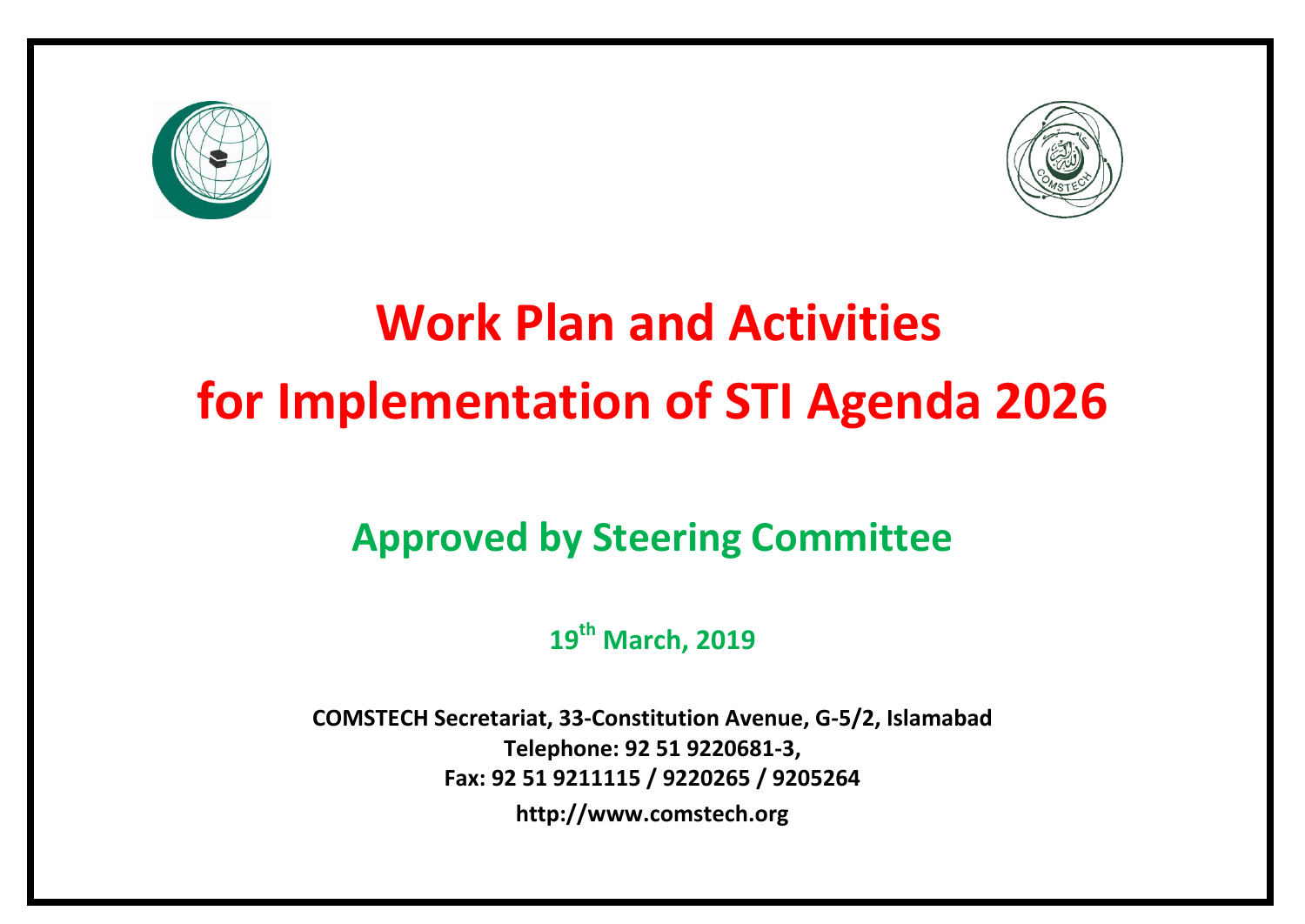



### **Work Plan and Activities for Implementation of STI Agenda 2026**

#### **Approved by Steering Committee**

**19th March, 2019**

**COMSTECH Secretariat, 33-Constitution Avenue, G-5/2, Islamabad Telephone: 92 51 9220681-3, Fax: 92 51 9211115 / 9220265 / 920526[4](http://www.comstech.org/) [http://www.comstech.org](http://www.comstech.org/)**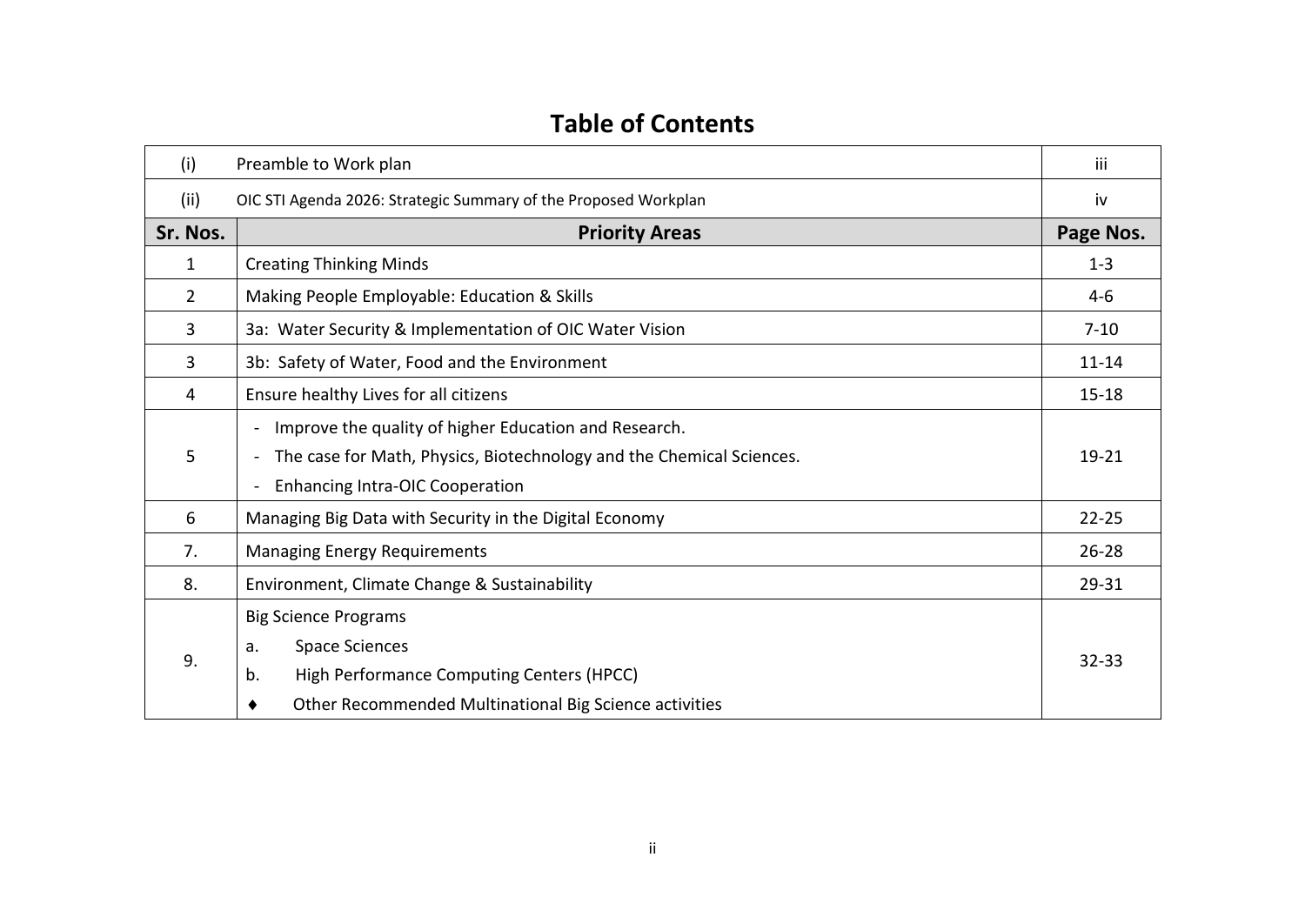#### **Table of Contents**

| (i)            | Preamble to Work plan                                                                            | iii       |  |  |  |
|----------------|--------------------------------------------------------------------------------------------------|-----------|--|--|--|
| (ii)           | OIC STI Agenda 2026: Strategic Summary of the Proposed Workplan                                  | iv        |  |  |  |
| Sr. Nos.       | <b>Priority Areas</b>                                                                            | Page Nos. |  |  |  |
| 1              | <b>Creating Thinking Minds</b>                                                                   | $1 - 3$   |  |  |  |
| $\overline{2}$ | Making People Employable: Education & Skills                                                     | $4-6$     |  |  |  |
| 3              | 3a: Water Security & Implementation of OIC Water Vision                                          | $7 - 10$  |  |  |  |
| 3              | 3b: Safety of Water, Food and the Environment                                                    |           |  |  |  |
| 4              | Ensure healthy Lives for all citizens                                                            |           |  |  |  |
|                | Improve the quality of higher Education and Research.                                            |           |  |  |  |
| 5              | The case for Math, Physics, Biotechnology and the Chemical Sciences.<br>$\overline{\phantom{a}}$ |           |  |  |  |
|                | <b>Enhancing Intra-OIC Cooperation</b>                                                           |           |  |  |  |
| 6              | Managing Big Data with Security in the Digital Economy                                           | $22 - 25$ |  |  |  |
| 7.             | <b>Managing Energy Requirements</b>                                                              | $26 - 28$ |  |  |  |
| 8.             | Environment, Climate Change & Sustainability                                                     |           |  |  |  |
|                | <b>Big Science Programs</b>                                                                      |           |  |  |  |
| 9.             | <b>Space Sciences</b><br>a.                                                                      | $32 - 33$ |  |  |  |
|                | High Performance Computing Centers (HPCC)<br>b.                                                  |           |  |  |  |
|                | Other Recommended Multinational Big Science activities<br>٠                                      |           |  |  |  |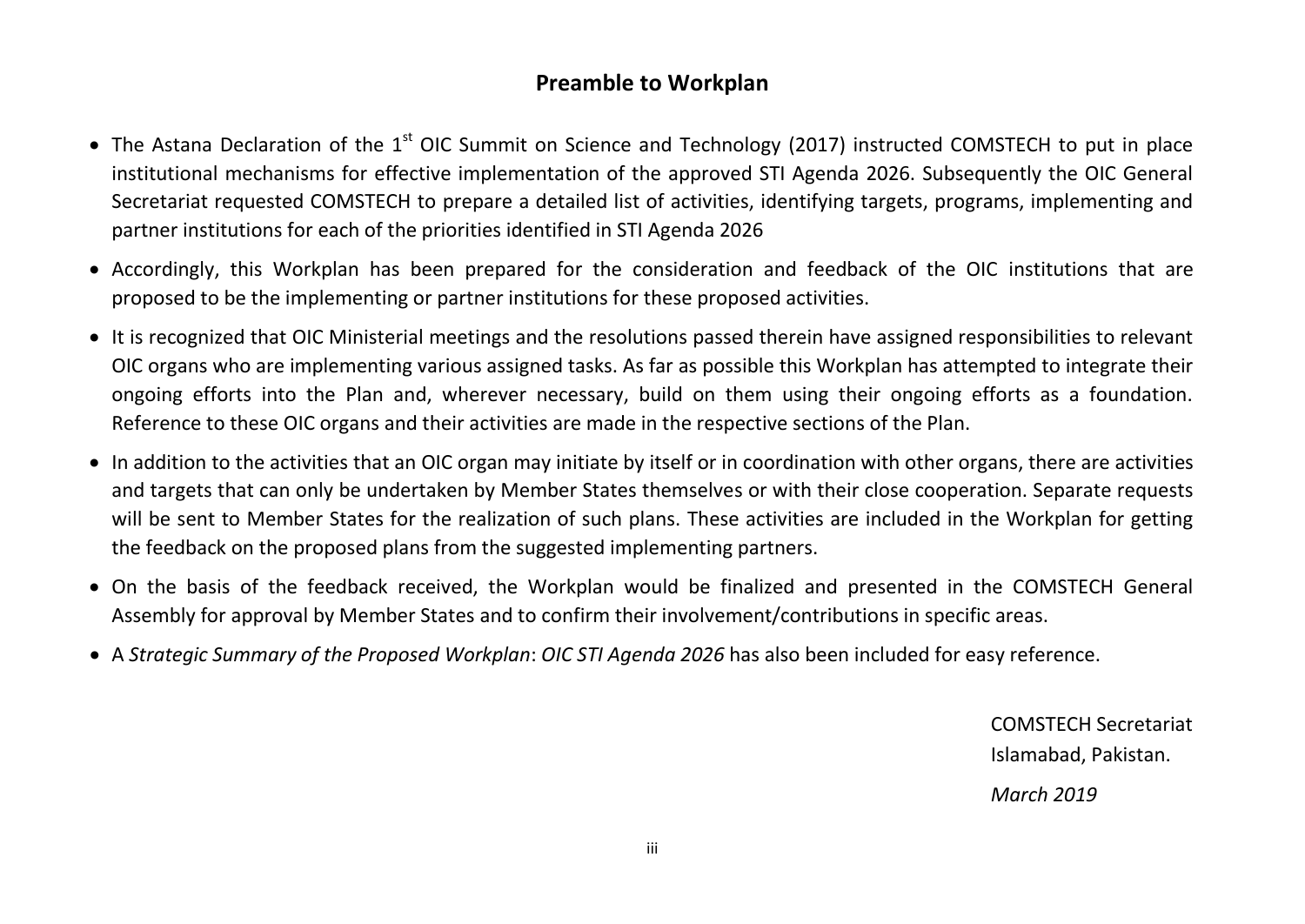#### **Preamble to Workplan**

- The Astana Declaration of the  $1^{\text{st}}$  OIC Summit on Science and Technology (2017) instructed COMSTECH to put in place institutional mechanisms for effective implementation of the approved STI Agenda 2026. Subsequently the OIC General Secretariat requested COMSTECH to prepare a detailed list of activities, identifying targets, programs, implementing and partner institutions for each of the priorities identified in STI Agenda 2026
- Accordingly, this Workplan has been prepared for the consideration and feedback of the OIC institutions that are proposed to be the implementing or partner institutions for these proposed activities.
- It is recognized that OIC Ministerial meetings and the resolutions passed therein have assigned responsibilities to relevant OIC organs who are implementing various assigned tasks. As far as possible this Workplan has attempted to integrate their ongoing efforts into the Plan and, wherever necessary, build on them using their ongoing efforts as a foundation. Reference to these OIC organs and their activities are made in the respective sections of the Plan.
- In addition to the activities that an OIC organ may initiate by itself or in coordination with other organs, there are activities and targets that can only be undertaken by Member States themselves or with their close cooperation. Separate requests will be sent to Member States for the realization of such plans. These activities are included in the Workplan for getting the feedback on the proposed plans from the suggested implementing partners.
- On the basis of the feedback received, the Workplan would be finalized and presented in the COMSTECH General Assembly for approval by Member States and to confirm their involvement/contributions in specific areas.
- A *Strategic Summary of the Proposed Workplan*: *OIC STI Agenda 2026* has also been included for easy reference.

COMSTECH Secretariat Islamabad, Pakistan.

*March 2019*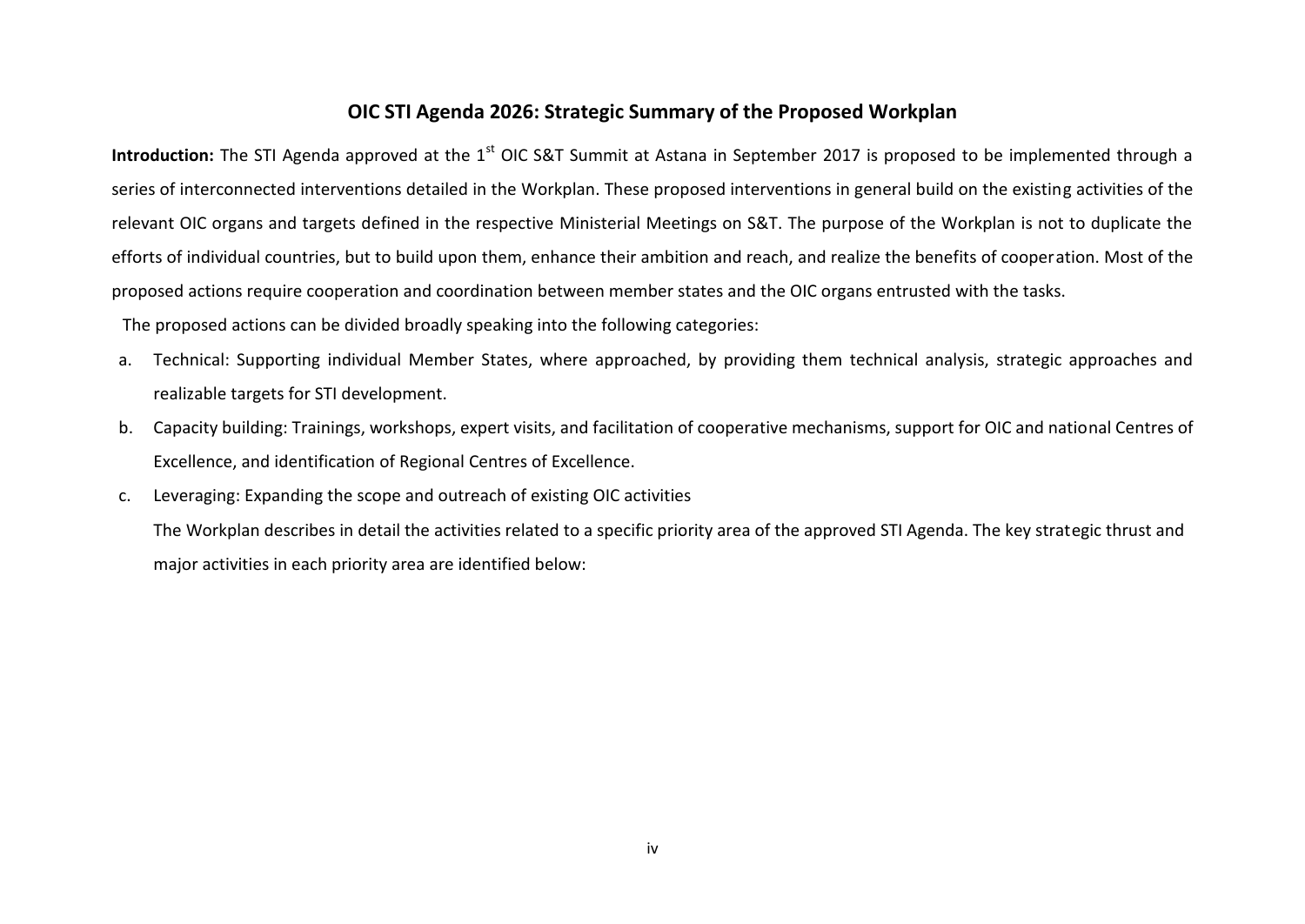#### **OIC STI Agenda 2026: Strategic Summary of the Proposed Workplan**

**Introduction:** The STI Agenda approved at the 1<sup>st</sup> OIC S&T Summit at Astana in September 2017 is proposed to be implemented through a series of interconnected interventions detailed in the Workplan. These proposed interventions in general build on the existing activities of the relevant OIC organs and targets defined in the respective Ministerial Meetings on S&T. The purpose of the Workplan is not to duplicate the efforts of individual countries, but to build upon them, enhance their ambition and reach, and realize the benefits of cooperation. Most of the proposed actions require cooperation and coordination between member states and the OIC organs entrusted with the tasks.

The proposed actions can be divided broadly speaking into the following categories:

- a. Technical: Supporting individual Member States, where approached, by providing them technical analysis, strategic approaches and realizable targets for STI development.
- b. Capacity building: Trainings, workshops, expert visits, and facilitation of cooperative mechanisms, support for OIC and national Centres of Excellence, and identification of Regional Centres of Excellence.
- c. Leveraging: Expanding the scope and outreach of existing OIC activities The Workplan describes in detail the activities related to a specific priority area of the approved STI Agenda. The key strategic thrust and major activities in each priority area are identified below: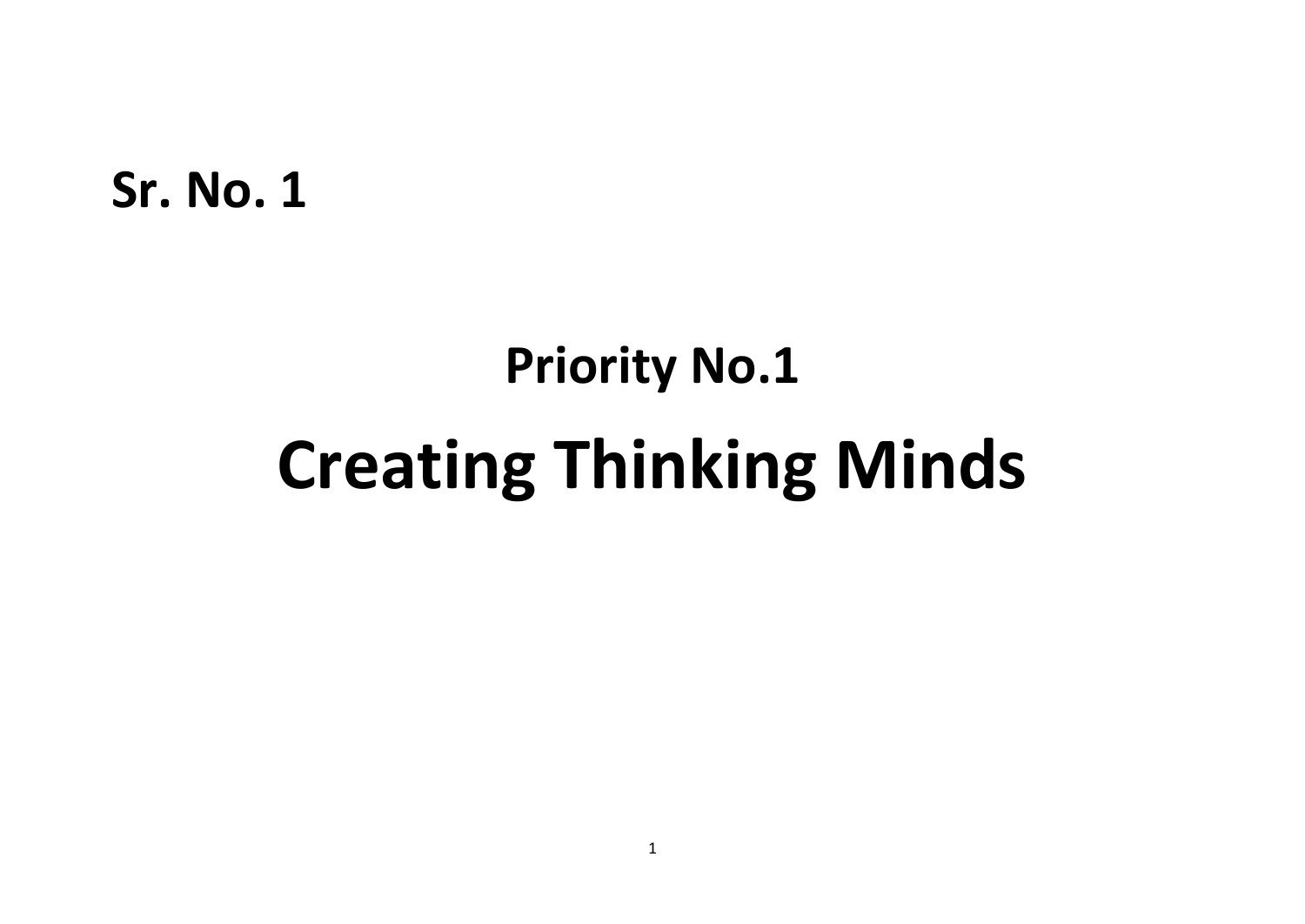## **Priority No.1 Creating Thinking Minds**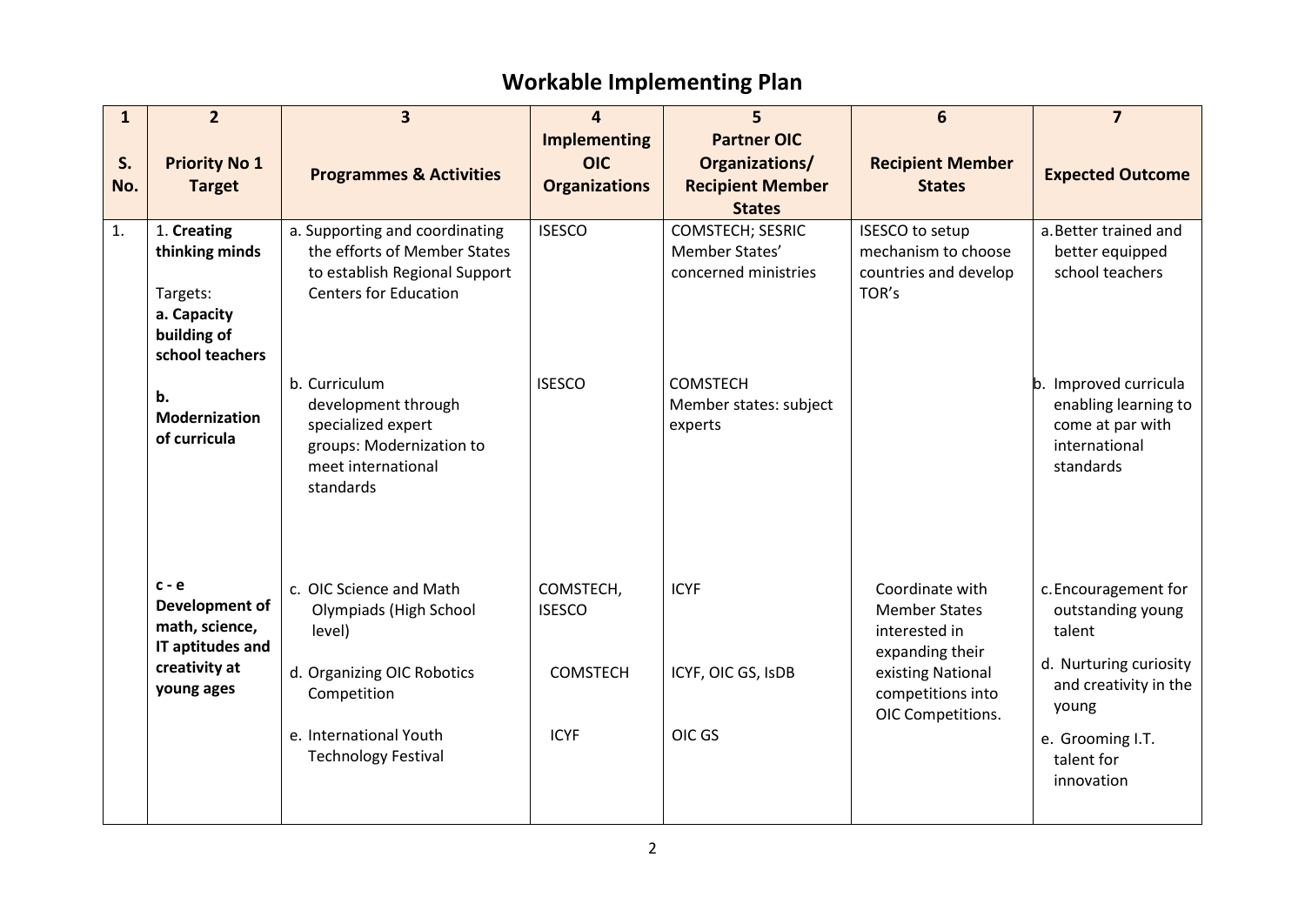#### **Workable Implementing Plan**

| 1         | $\overline{2}$                                                                             | $\overline{\mathbf{3}}$                                                                                                         | 4                                                         | 5                                                                                | 6                                                                               | $\overline{7}$                                                                                  |
|-----------|--------------------------------------------------------------------------------------------|---------------------------------------------------------------------------------------------------------------------------------|-----------------------------------------------------------|----------------------------------------------------------------------------------|---------------------------------------------------------------------------------|-------------------------------------------------------------------------------------------------|
| S.<br>No. | <b>Priority No 1</b><br><b>Target</b>                                                      | <b>Programmes &amp; Activities</b>                                                                                              | <b>Implementing</b><br><b>OIC</b><br><b>Organizations</b> | <b>Partner OIC</b><br>Organizations/<br><b>Recipient Member</b><br><b>States</b> | <b>Recipient Member</b><br><b>States</b>                                        | <b>Expected Outcome</b>                                                                         |
| 1.        | 1. Creating<br>thinking minds<br>Targets:<br>a. Capacity<br>building of<br>school teachers | a. Supporting and coordinating<br>the efforts of Member States<br>to establish Regional Support<br><b>Centers for Education</b> | <b>ISESCO</b>                                             | <b>COMSTECH; SESRIC</b><br>Member States'<br>concerned ministries                | <b>ISESCO</b> to setup<br>mechanism to choose<br>countries and develop<br>TOR's | a. Better trained and<br>better equipped<br>school teachers                                     |
|           | b.<br><b>Modernization</b><br>of curricula                                                 | b. Curriculum<br>development through<br>specialized expert<br>groups: Modernization to<br>meet international<br>standards       | <b>ISESCO</b>                                             | <b>COMSTECH</b><br>Member states: subject<br>experts                             |                                                                                 | b. Improved curricula<br>enabling learning to<br>come at par with<br>international<br>standards |
|           | $c - e$<br>Development of<br>math, science,<br>IT aptitudes and                            | c. OIC Science and Math<br><b>Olympiads (High School</b><br>level)                                                              | COMSTECH,<br><b>ISESCO</b>                                | <b>ICYF</b>                                                                      | Coordinate with<br><b>Member States</b><br>interested in                        | c. Encouragement for<br>outstanding young<br>talent                                             |
|           | creativity at<br>young ages                                                                | d. Organizing OIC Robotics<br>Competition                                                                                       | <b>COMSTECH</b>                                           | ICYF, OIC GS, IsDB                                                               | expanding their<br>existing National<br>competitions into<br>OIC Competitions.  | d. Nurturing curiosity<br>and creativity in the<br>young                                        |
|           |                                                                                            | e. International Youth<br><b>Technology Festival</b>                                                                            | <b>ICYF</b>                                               | OIC GS                                                                           |                                                                                 | e. Grooming I.T.<br>talent for<br>innovation                                                    |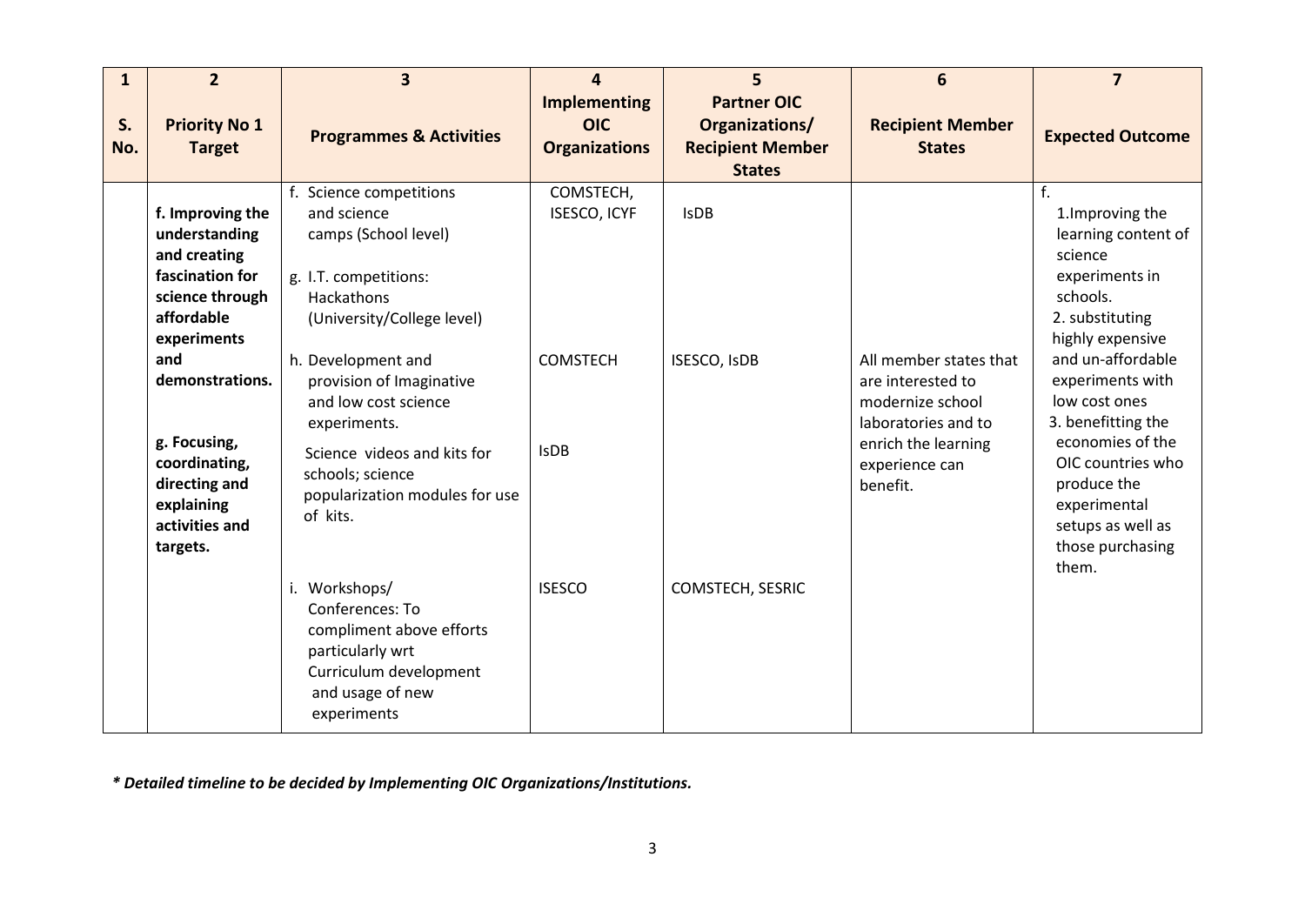| 1<br>S.<br>No. | $\overline{2}$<br><b>Priority No 1</b><br><b>Target</b>                                                                                                                                                                                      | $\overline{\mathbf{3}}$<br><b>Programmes &amp; Activities</b>                                                                                                                                                                                                                                                                  | $\overline{a}$<br><b>Implementing</b><br><b>OIC</b><br><b>Organizations</b> | 5<br><b>Partner OIC</b><br>Organizations/<br><b>Recipient Member</b><br><b>States</b> | 6<br><b>Recipient Member</b><br><b>States</b>                                                                                               | $\overline{\mathbf{z}}$<br><b>Expected Outcome</b>                                                                                                                                                                                                                                                                                      |
|----------------|----------------------------------------------------------------------------------------------------------------------------------------------------------------------------------------------------------------------------------------------|--------------------------------------------------------------------------------------------------------------------------------------------------------------------------------------------------------------------------------------------------------------------------------------------------------------------------------|-----------------------------------------------------------------------------|---------------------------------------------------------------------------------------|---------------------------------------------------------------------------------------------------------------------------------------------|-----------------------------------------------------------------------------------------------------------------------------------------------------------------------------------------------------------------------------------------------------------------------------------------------------------------------------------------|
|                | f. Improving the<br>understanding<br>and creating<br>fascination for<br>science through<br>affordable<br>experiments<br>and<br>demonstrations.<br>g. Focusing,<br>coordinating,<br>directing and<br>explaining<br>activities and<br>targets. | f. Science competitions<br>and science<br>camps (School level)<br>g. I.T. competitions:<br>Hackathons<br>(University/College level)<br>h. Development and<br>provision of Imaginative<br>and low cost science<br>experiments.<br>Science videos and kits for<br>schools; science<br>popularization modules for use<br>of kits. | COMSTECH,<br><b>ISESCO, ICYF</b><br><b>COMSTECH</b><br><b>IsDB</b>          | <b>IsDB</b><br>ISESCO, IsDB                                                           | All member states that<br>are interested to<br>modernize school<br>laboratories and to<br>enrich the learning<br>experience can<br>benefit. | f.<br>1. Improving the<br>learning content of<br>science<br>experiments in<br>schools.<br>2. substituting<br>highly expensive<br>and un-affordable<br>experiments with<br>low cost ones<br>3. benefitting the<br>economies of the<br>OIC countries who<br>produce the<br>experimental<br>setups as well as<br>those purchasing<br>them. |
|                |                                                                                                                                                                                                                                              | i. Workshops/<br>Conferences: To<br>compliment above efforts<br>particularly wrt<br>Curriculum development<br>and usage of new<br>experiments                                                                                                                                                                                  | <b>ISESCO</b>                                                               | <b>COMSTECH, SESRIC</b>                                                               |                                                                                                                                             |                                                                                                                                                                                                                                                                                                                                         |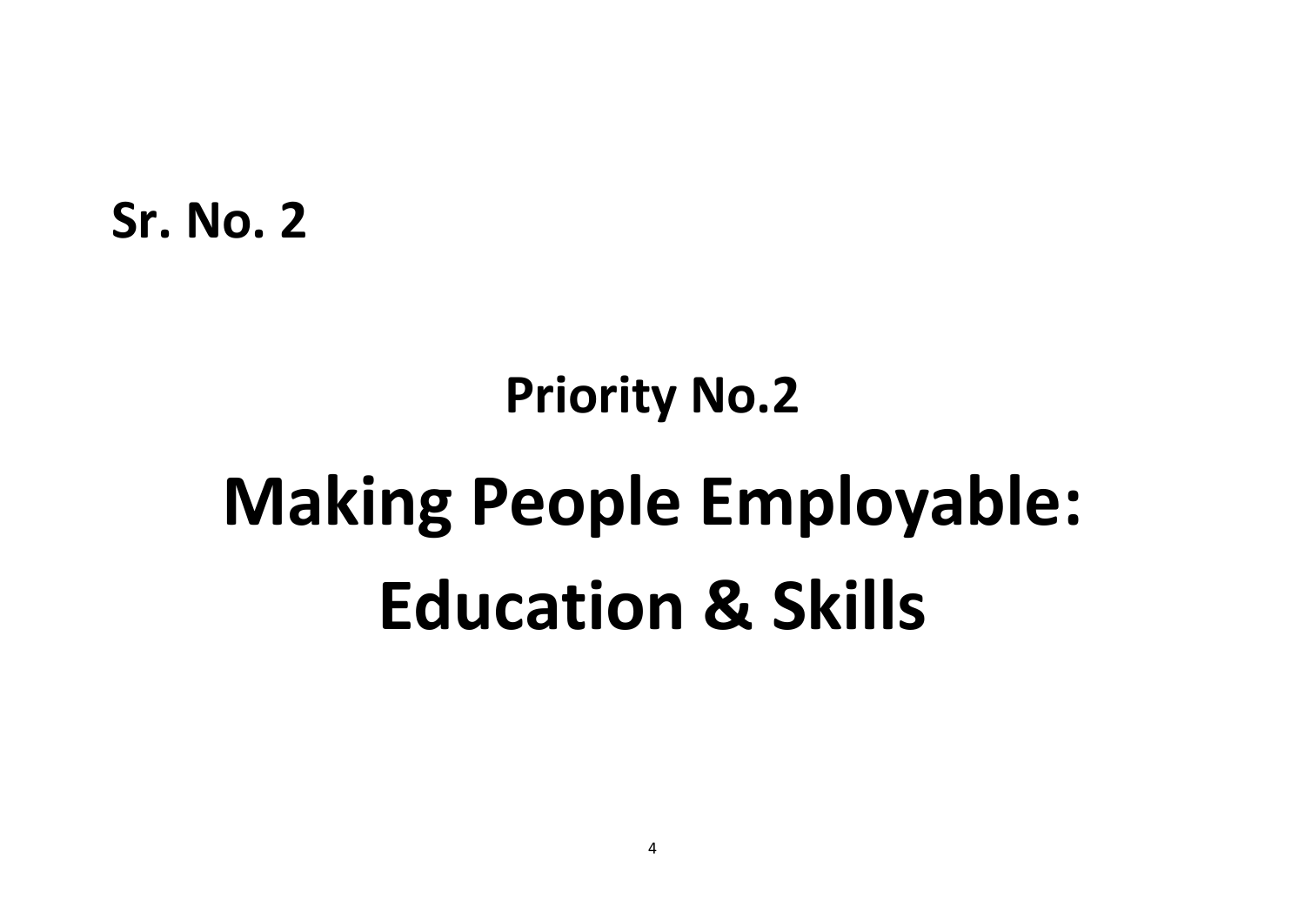# **Priority No.2 Making People Employable: Education & Skills**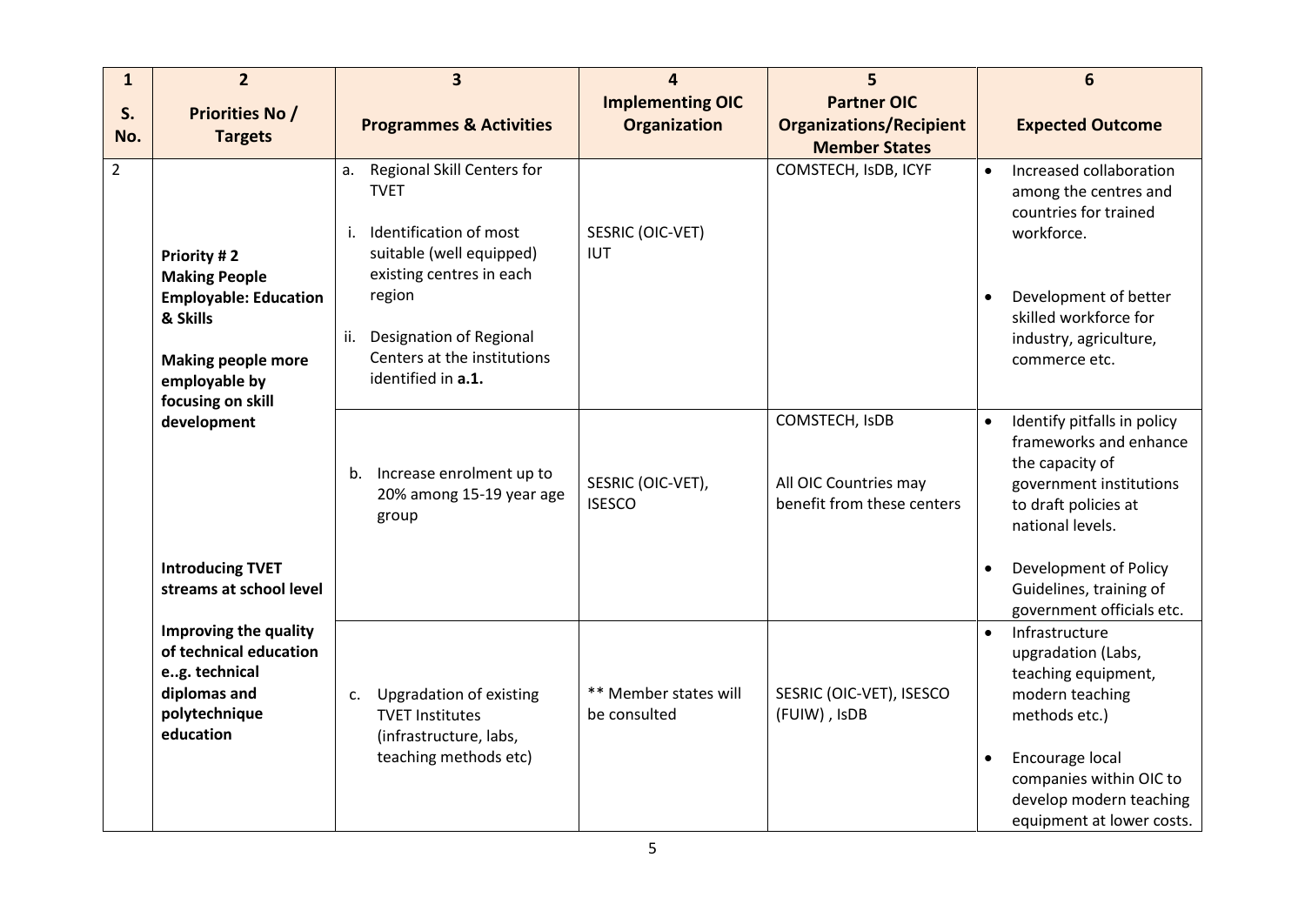| $\mathbf{1}$   | $\overline{2}$                                                                                                 | $\overline{\mathbf{3}}$                                                                                                                 | $\Delta$                              | 5                                                                     | 6                                                                                                                                                            |
|----------------|----------------------------------------------------------------------------------------------------------------|-----------------------------------------------------------------------------------------------------------------------------------------|---------------------------------------|-----------------------------------------------------------------------|--------------------------------------------------------------------------------------------------------------------------------------------------------------|
| S.             | <b>Priorities No /</b>                                                                                         |                                                                                                                                         | <b>Implementing OIC</b>               | <b>Partner OIC</b>                                                    |                                                                                                                                                              |
| No.            | <b>Targets</b>                                                                                                 | <b>Programmes &amp; Activities</b>                                                                                                      | <b>Organization</b>                   | <b>Organizations/Recipient</b>                                        | <b>Expected Outcome</b>                                                                                                                                      |
|                |                                                                                                                |                                                                                                                                         |                                       | <b>Member States</b>                                                  | Increased collaboration                                                                                                                                      |
| $\overline{2}$ | Priority #2<br><b>Making People</b>                                                                            | Regional Skill Centers for<br>a.<br><b>TVET</b><br>Identification of most<br>i.<br>suitable (well equipped)<br>existing centres in each | SESRIC (OIC-VET)<br><b>IUT</b>        | COMSTECH, ISDB, ICYF                                                  | $\bullet$<br>among the centres and<br>countries for trained<br>workforce.                                                                                    |
|                | <b>Employable: Education</b><br>& Skills                                                                       | region                                                                                                                                  |                                       |                                                                       | Development of better<br>skilled workforce for                                                                                                               |
|                | <b>Making people more</b><br>employable by<br>focusing on skill                                                | ii. Designation of Regional<br>Centers at the institutions<br>identified in a.1.                                                        |                                       |                                                                       | industry, agriculture,<br>commerce etc.                                                                                                                      |
|                | development                                                                                                    | Increase enrolment up to<br>b.<br>20% among 15-19 year age<br>group                                                                     | SESRIC (OIC-VET),<br><b>ISESCO</b>    | COMSTECH, ISDB<br>All OIC Countries may<br>benefit from these centers | Identify pitfalls in policy<br>$\bullet$<br>frameworks and enhance<br>the capacity of<br>government institutions<br>to draft policies at<br>national levels. |
|                | <b>Introducing TVET</b><br>streams at school level                                                             |                                                                                                                                         |                                       |                                                                       | Development of Policy<br>Guidelines, training of<br>government officials etc.                                                                                |
|                | Improving the quality<br>of technical education<br>eg. technical<br>diplomas and<br>polytechnique<br>education | <b>Upgradation of existing</b><br>c.<br><b>TVET Institutes</b><br>(infrastructure, labs,<br>teaching methods etc)                       | ** Member states will<br>be consulted | SESRIC (OIC-VET), ISESCO<br>(FUIW), ISDB                              | Infrastructure<br>$\bullet$<br>upgradation (Labs,<br>teaching equipment,<br>modern teaching<br>methods etc.)<br>Encourage local<br>$\bullet$                 |
|                |                                                                                                                |                                                                                                                                         |                                       |                                                                       | companies within OIC to<br>develop modern teaching<br>equipment at lower costs.                                                                              |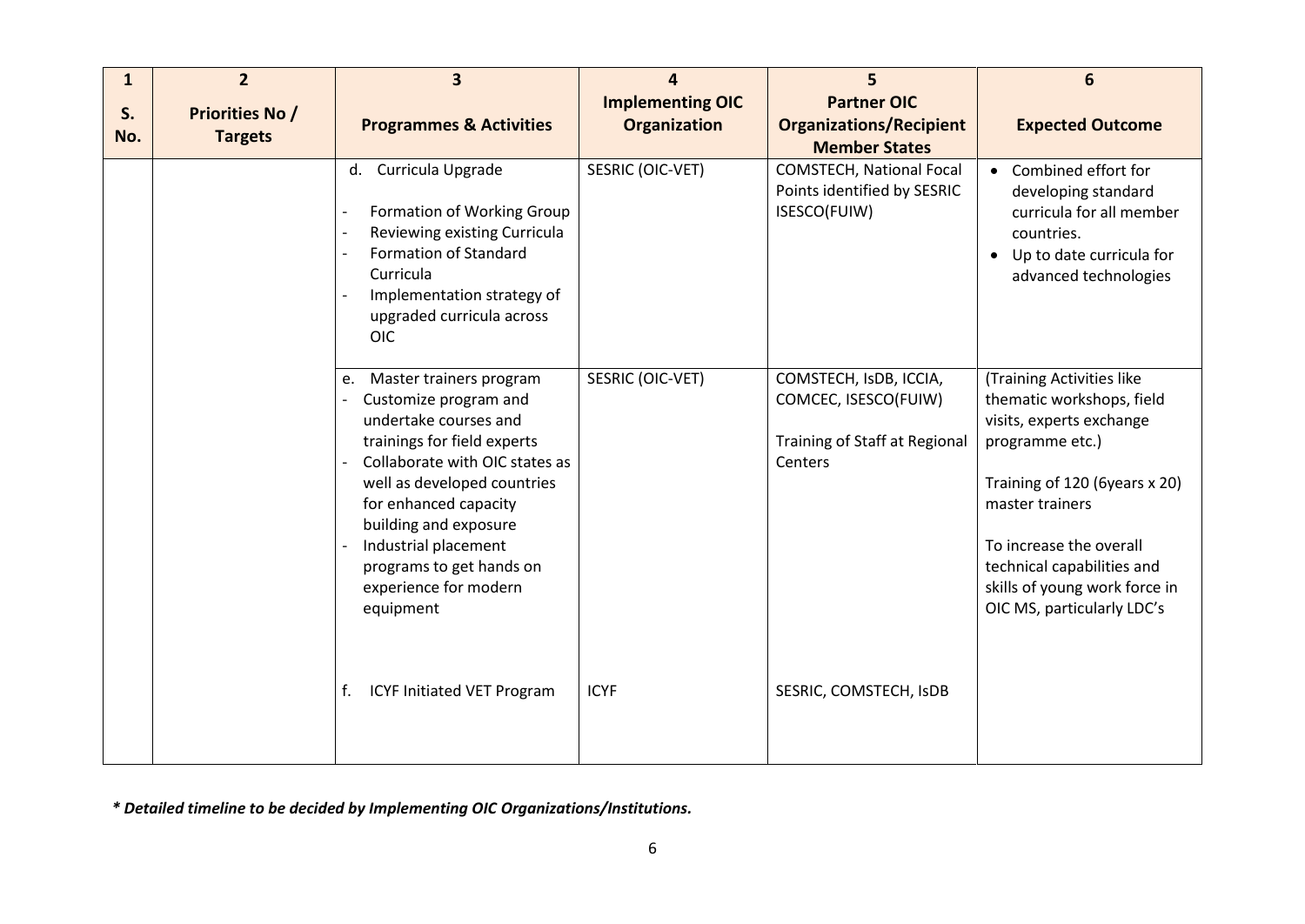| 1         | $\overline{2}$                           | 3                                                                                                                                                                                                                                                                                                                           | 4                                              | 5                                                                                          | 6                                                                                                                                                                                                                                                                                 |
|-----------|------------------------------------------|-----------------------------------------------------------------------------------------------------------------------------------------------------------------------------------------------------------------------------------------------------------------------------------------------------------------------------|------------------------------------------------|--------------------------------------------------------------------------------------------|-----------------------------------------------------------------------------------------------------------------------------------------------------------------------------------------------------------------------------------------------------------------------------------|
| S.<br>No. | <b>Priorities No /</b><br><b>Targets</b> | <b>Programmes &amp; Activities</b>                                                                                                                                                                                                                                                                                          | <b>Implementing OIC</b><br><b>Organization</b> | <b>Partner OIC</b><br><b>Organizations/Recipient</b><br><b>Member States</b>               | <b>Expected Outcome</b>                                                                                                                                                                                                                                                           |
|           |                                          | d. Curricula Upgrade<br>Formation of Working Group<br>Reviewing existing Curricula<br>Formation of Standard<br>$\overline{a}$<br>Curricula<br>Implementation strategy of<br>upgraded curricula across<br><b>OIC</b>                                                                                                         | SESRIC (OIC-VET)                               | <b>COMSTECH, National Focal</b><br>Points identified by SESRIC<br>ISESCO(FUIW)             | • Combined effort for<br>developing standard<br>curricula for all member<br>countries.<br>Up to date curricula for<br>$\bullet$<br>advanced technologies                                                                                                                          |
|           |                                          | Master trainers program<br>e.<br>Customize program and<br>undertake courses and<br>trainings for field experts<br>Collaborate with OIC states as<br>well as developed countries<br>for enhanced capacity<br>building and exposure<br>Industrial placement<br>programs to get hands on<br>experience for modern<br>equipment | SESRIC (OIC-VET)                               | COMSTECH, ISDB, ICCIA,<br>COMCEC, ISESCO(FUIW)<br>Training of Staff at Regional<br>Centers | (Training Activities like<br>thematic workshops, field<br>visits, experts exchange<br>programme etc.)<br>Training of 120 (6years x 20)<br>master trainers<br>To increase the overall<br>technical capabilities and<br>skills of young work force in<br>OIC MS, particularly LDC's |
|           |                                          | <b>ICYF Initiated VET Program</b><br>f.                                                                                                                                                                                                                                                                                     | <b>ICYF</b>                                    | SESRIC, COMSTECH, ISDB                                                                     |                                                                                                                                                                                                                                                                                   |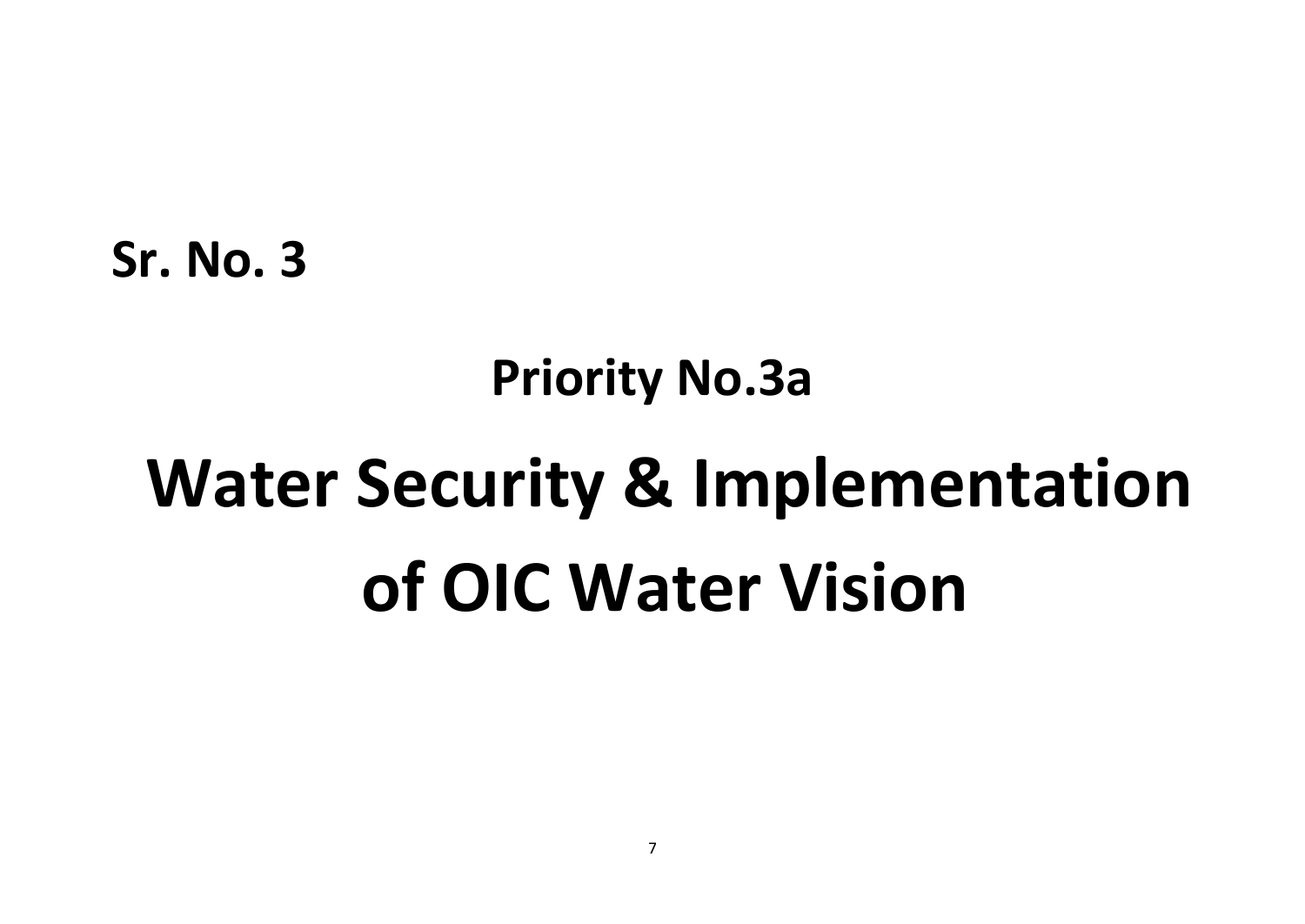### **Priority No.3a**

# **Water Security & Implementation of OIC Water Vision**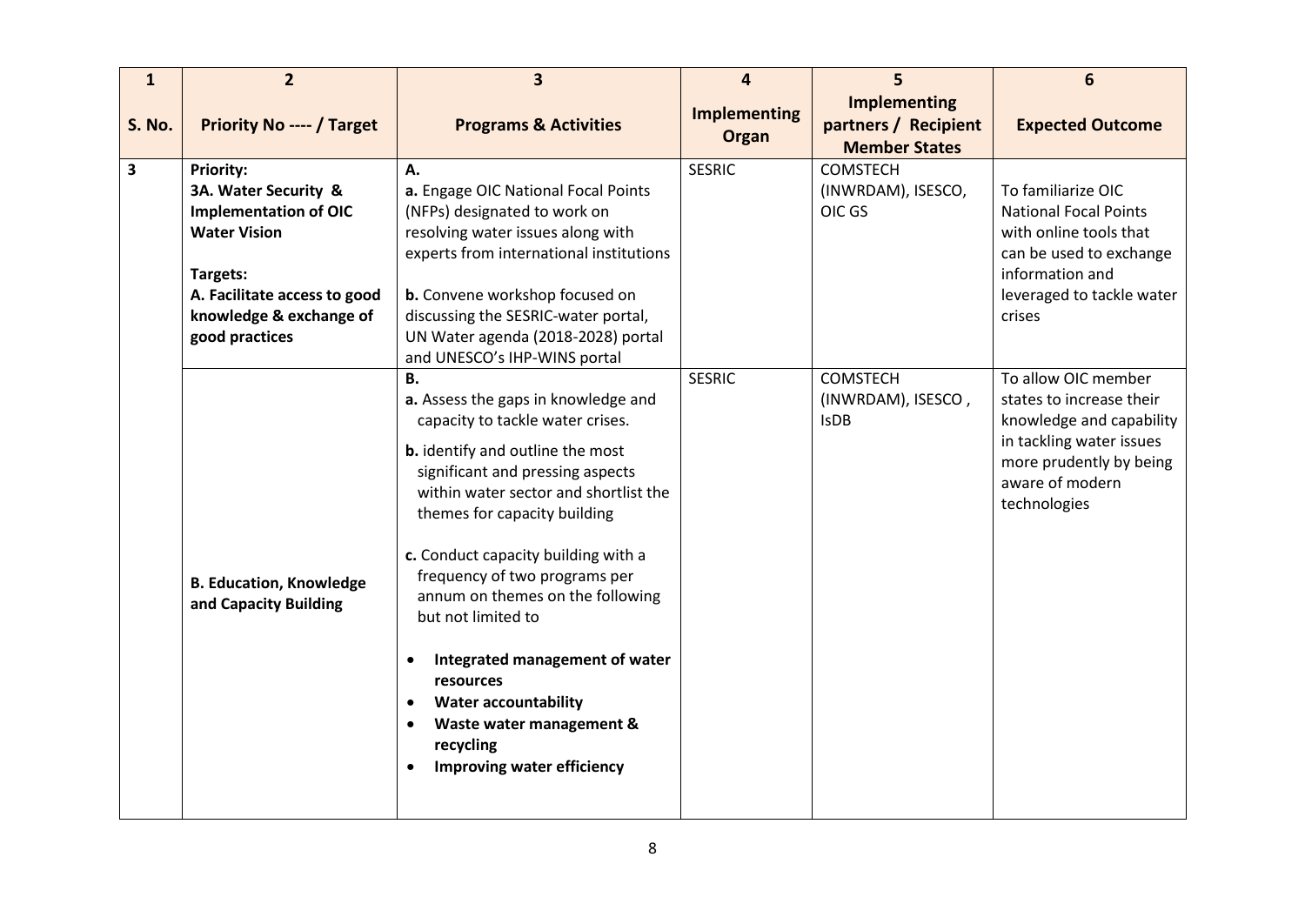| $\mathbf{1}$            | $\overline{2}$                                                                                                                                                                    | $\overline{\mathbf{3}}$                                                                                                                                                                                                                                                                                                                                                                                                                                                                                                                                                          | 4                                   | 5                                                                   | 6                                                                                                                                                                     |
|-------------------------|-----------------------------------------------------------------------------------------------------------------------------------------------------------------------------------|----------------------------------------------------------------------------------------------------------------------------------------------------------------------------------------------------------------------------------------------------------------------------------------------------------------------------------------------------------------------------------------------------------------------------------------------------------------------------------------------------------------------------------------------------------------------------------|-------------------------------------|---------------------------------------------------------------------|-----------------------------------------------------------------------------------------------------------------------------------------------------------------------|
| <b>S. No.</b>           | <b>Priority No ---- / Target</b>                                                                                                                                                  | <b>Programs &amp; Activities</b>                                                                                                                                                                                                                                                                                                                                                                                                                                                                                                                                                 | <b>Implementing</b><br><b>Organ</b> | <b>Implementing</b><br>partners / Recipient<br><b>Member States</b> | <b>Expected Outcome</b>                                                                                                                                               |
| $\overline{\mathbf{3}}$ | Priority:<br>3A. Water Security &<br><b>Implementation of OIC</b><br><b>Water Vision</b><br>Targets:<br>A. Facilitate access to good<br>knowledge & exchange of<br>good practices | А.<br>a. Engage OIC National Focal Points<br>(NFPs) designated to work on<br>resolving water issues along with<br>experts from international institutions<br><b>b.</b> Convene workshop focused on<br>discussing the SESRIC-water portal,<br>UN Water agenda (2018-2028) portal<br>and UNESCO's IHP-WINS portal                                                                                                                                                                                                                                                                  | <b>SESRIC</b>                       | <b>COMSTECH</b><br>(INWRDAM), ISESCO,<br>OIC GS                     | To familiarize OIC<br><b>National Focal Points</b><br>with online tools that<br>can be used to exchange<br>information and<br>leveraged to tackle water<br>crises     |
|                         | <b>B. Education, Knowledge</b><br>and Capacity Building                                                                                                                           | В.<br>a. Assess the gaps in knowledge and<br>capacity to tackle water crises.<br><b>b.</b> identify and outline the most<br>significant and pressing aspects<br>within water sector and shortlist the<br>themes for capacity building<br>c. Conduct capacity building with a<br>frequency of two programs per<br>annum on themes on the following<br>but not limited to<br>Integrated management of water<br>$\bullet$<br>resources<br><b>Water accountability</b><br>$\bullet$<br>Waste water management &<br>$\bullet$<br>recycling<br>Improving water efficiency<br>$\bullet$ | <b>SESRIC</b>                       | <b>COMSTECH</b><br>(INWRDAM), ISESCO,<br><b>IsDB</b>                | To allow OIC member<br>states to increase their<br>knowledge and capability<br>in tackling water issues<br>more prudently by being<br>aware of modern<br>technologies |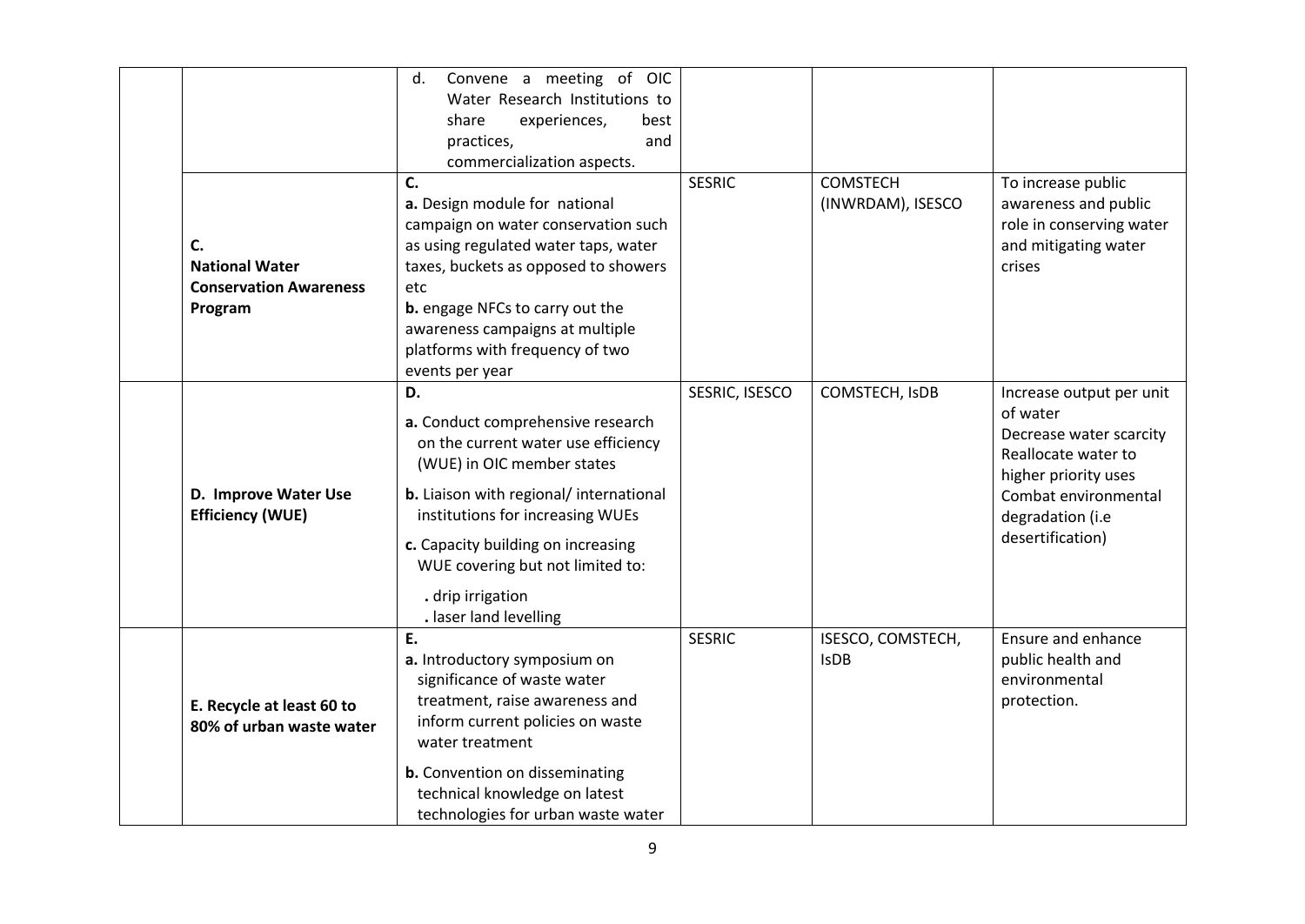| C.<br><b>National Water</b><br><b>Conservation Awareness</b><br>Program | d.<br>Convene a meeting of OIC<br>Water Research Institutions to<br>experiences,<br>best<br>share<br>practices,<br>and<br>commercialization aspects.<br>C.<br>a. Design module for national<br>campaign on water conservation such<br>as using regulated water taps, water<br>taxes, buckets as opposed to showers<br>etc<br><b>b.</b> engage NFCs to carry out the<br>awareness campaigns at multiple<br>platforms with frequency of two<br>events per year | <b>SESRIC</b>  | <b>COMSTECH</b><br>(INWRDAM), ISESCO | To increase public<br>awareness and public<br>role in conserving water<br>and mitigating water<br>crises                                                                       |
|-------------------------------------------------------------------------|--------------------------------------------------------------------------------------------------------------------------------------------------------------------------------------------------------------------------------------------------------------------------------------------------------------------------------------------------------------------------------------------------------------------------------------------------------------|----------------|--------------------------------------|--------------------------------------------------------------------------------------------------------------------------------------------------------------------------------|
| D. Improve Water Use<br><b>Efficiency (WUE)</b>                         | D.<br>a. Conduct comprehensive research<br>on the current water use efficiency<br>(WUE) in OIC member states<br><b>b.</b> Liaison with regional/international<br>institutions for increasing WUEs<br>c. Capacity building on increasing<br>WUE covering but not limited to:<br>. drip irrigation<br>. laser land levelling                                                                                                                                   | SESRIC, ISESCO | COMSTECH, IsDB                       | Increase output per unit<br>of water<br>Decrease water scarcity<br>Reallocate water to<br>higher priority uses<br>Combat environmental<br>degradation (i.e<br>desertification) |
| E. Recycle at least 60 to<br>80% of urban waste water                   | E.<br>a. Introductory symposium on<br>significance of waste water<br>treatment, raise awareness and<br>inform current policies on waste<br>water treatment<br><b>b.</b> Convention on disseminating<br>technical knowledge on latest<br>technologies for urban waste water                                                                                                                                                                                   | <b>SESRIC</b>  | ISESCO, COMSTECH,<br><b>IsDB</b>     | Ensure and enhance<br>public health and<br>environmental<br>protection.                                                                                                        |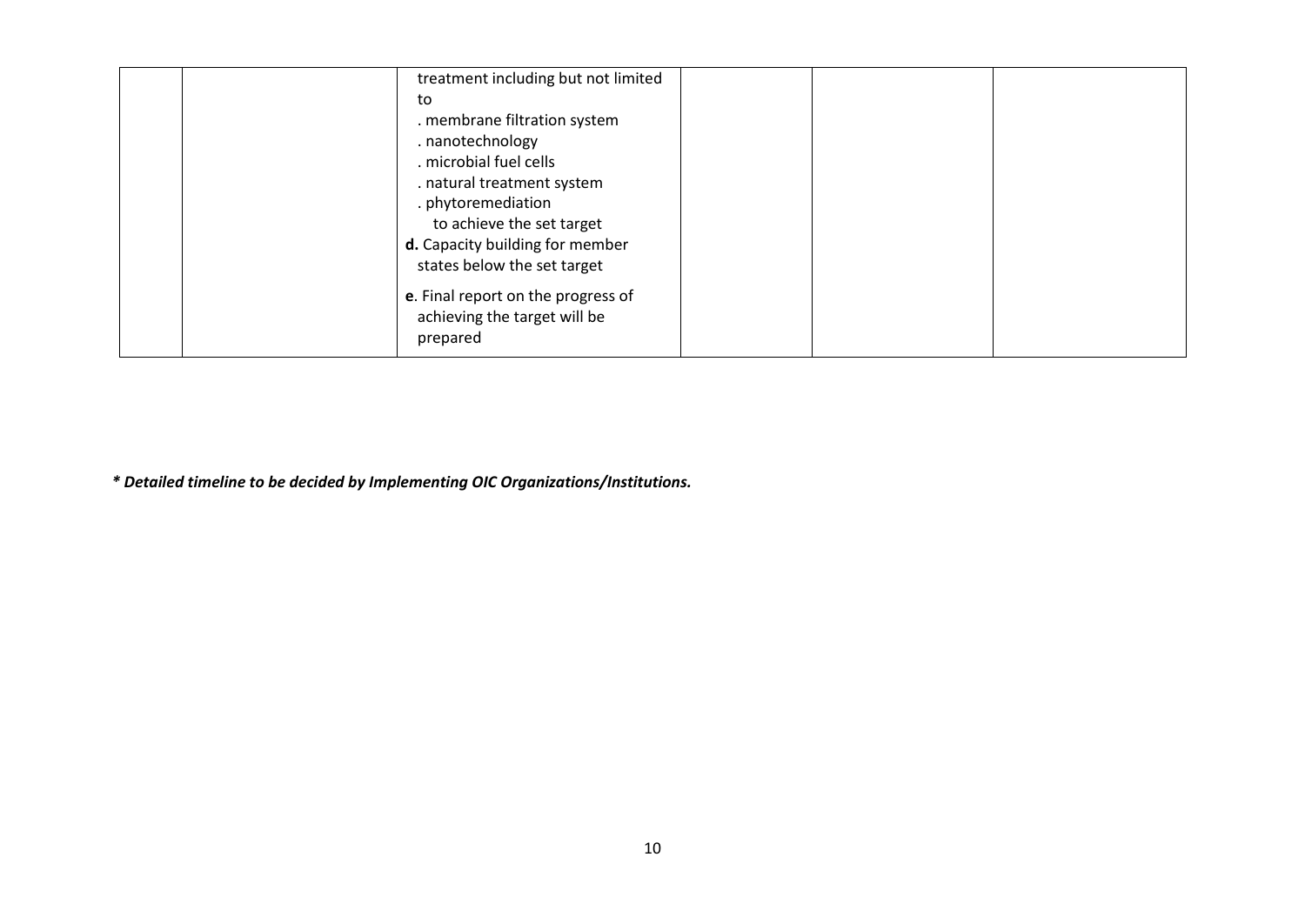| treatment including but not limited |
|-------------------------------------|
| to                                  |
| . membrane filtration system        |
| . nanotechnology                    |
| . microbial fuel cells              |
| . natural treatment system          |
| . phytoremediation                  |
| to achieve the set target           |
| d. Capacity building for member     |
| states below the set target         |
| e. Final report on the progress of  |
| achieving the target will be        |
| prepared                            |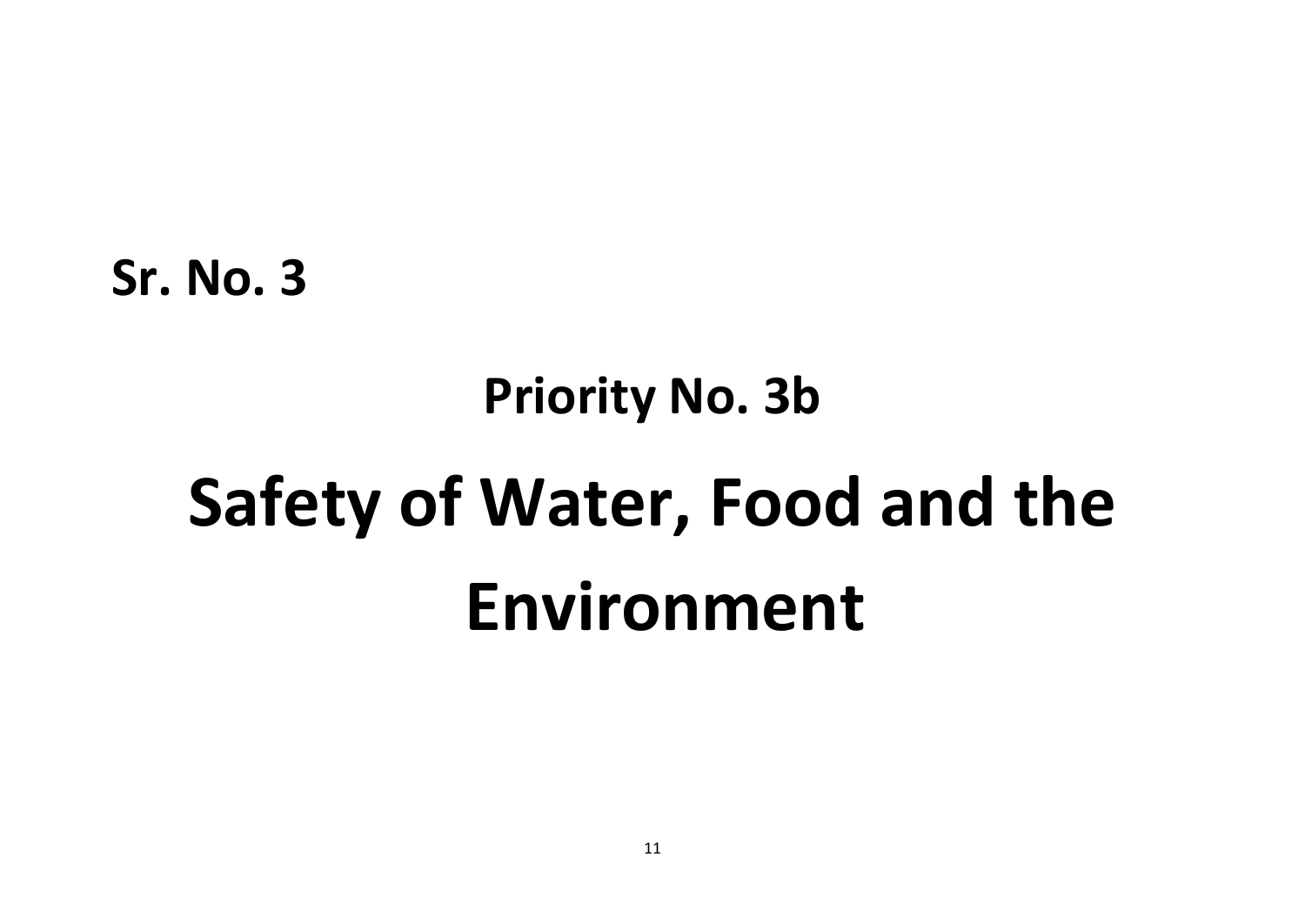# **Priority No. 3b Safety of Water, Food and the Environment**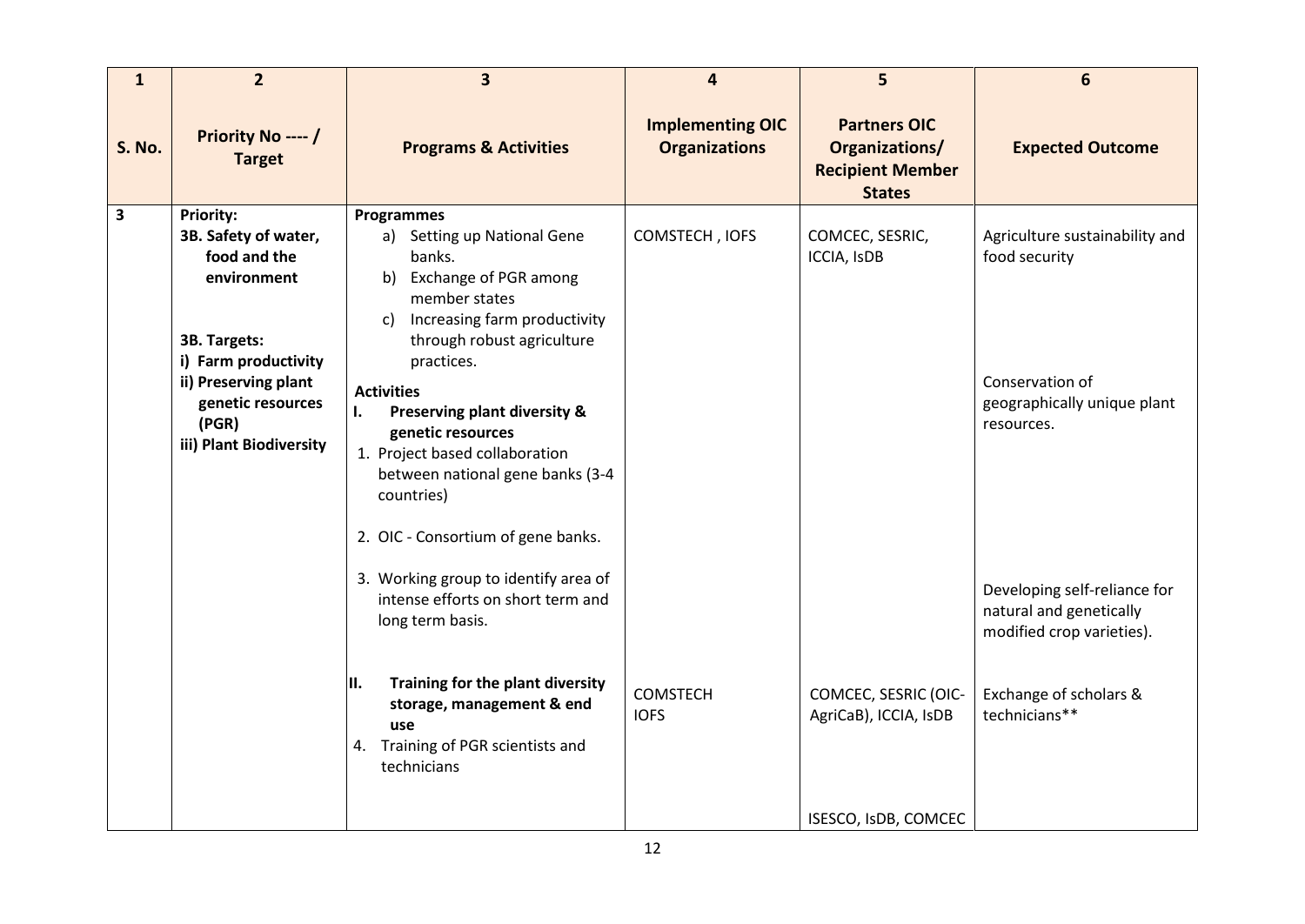| $\mathbf{1}$            | $\overline{2}$                                                                                                                                                                                   | $\overline{\mathbf{3}}$                                                                                                                                                                                                                                                                                                                                                                      | $\overline{4}$                                  | 5                                                                                 | 6                                                                                                                               |
|-------------------------|--------------------------------------------------------------------------------------------------------------------------------------------------------------------------------------------------|----------------------------------------------------------------------------------------------------------------------------------------------------------------------------------------------------------------------------------------------------------------------------------------------------------------------------------------------------------------------------------------------|-------------------------------------------------|-----------------------------------------------------------------------------------|---------------------------------------------------------------------------------------------------------------------------------|
| <b>S. No.</b>           | Priority No ---- /<br><b>Target</b>                                                                                                                                                              | <b>Programs &amp; Activities</b>                                                                                                                                                                                                                                                                                                                                                             | <b>Implementing OIC</b><br><b>Organizations</b> | <b>Partners OIC</b><br>Organizations/<br><b>Recipient Member</b><br><b>States</b> | <b>Expected Outcome</b>                                                                                                         |
| $\overline{\mathbf{3}}$ | <b>Priority:</b><br>3B. Safety of water,<br>food and the<br>environment<br>3B. Targets:<br>i) Farm productivity<br>ii) Preserving plant<br>genetic resources<br>(PGR)<br>iii) Plant Biodiversity | Programmes<br>a) Setting up National Gene<br>banks.<br>b) Exchange of PGR among<br>member states<br>Increasing farm productivity<br>C)<br>through robust agriculture<br>practices.<br><b>Activities</b><br>Preserving plant diversity &<br>ı.<br>genetic resources<br>1. Project based collaboration<br>between national gene banks (3-4<br>countries)<br>2. OIC - Consortium of gene banks. | COMSTECH, IOFS                                  | COMCEC, SESRIC,<br><b>ICCIA, IsDB</b>                                             | Agriculture sustainability and<br>food security<br>Conservation of<br>geographically unique plant<br>resources.                 |
|                         |                                                                                                                                                                                                  | 3. Working group to identify area of<br>intense efforts on short term and<br>long term basis.<br>Training for the plant diversity<br>III.<br>storage, management & end                                                                                                                                                                                                                       | <b>COMSTECH</b><br><b>IOFS</b>                  | COMCEC, SESRIC (OIC-<br>AgriCaB), ICCIA, IsDB                                     | Developing self-reliance for<br>natural and genetically<br>modified crop varieties).<br>Exchange of scholars &<br>technicians** |
|                         |                                                                                                                                                                                                  | use<br>4. Training of PGR scientists and<br>technicians                                                                                                                                                                                                                                                                                                                                      |                                                 | ISESCO, IsDB, COMCEC                                                              |                                                                                                                                 |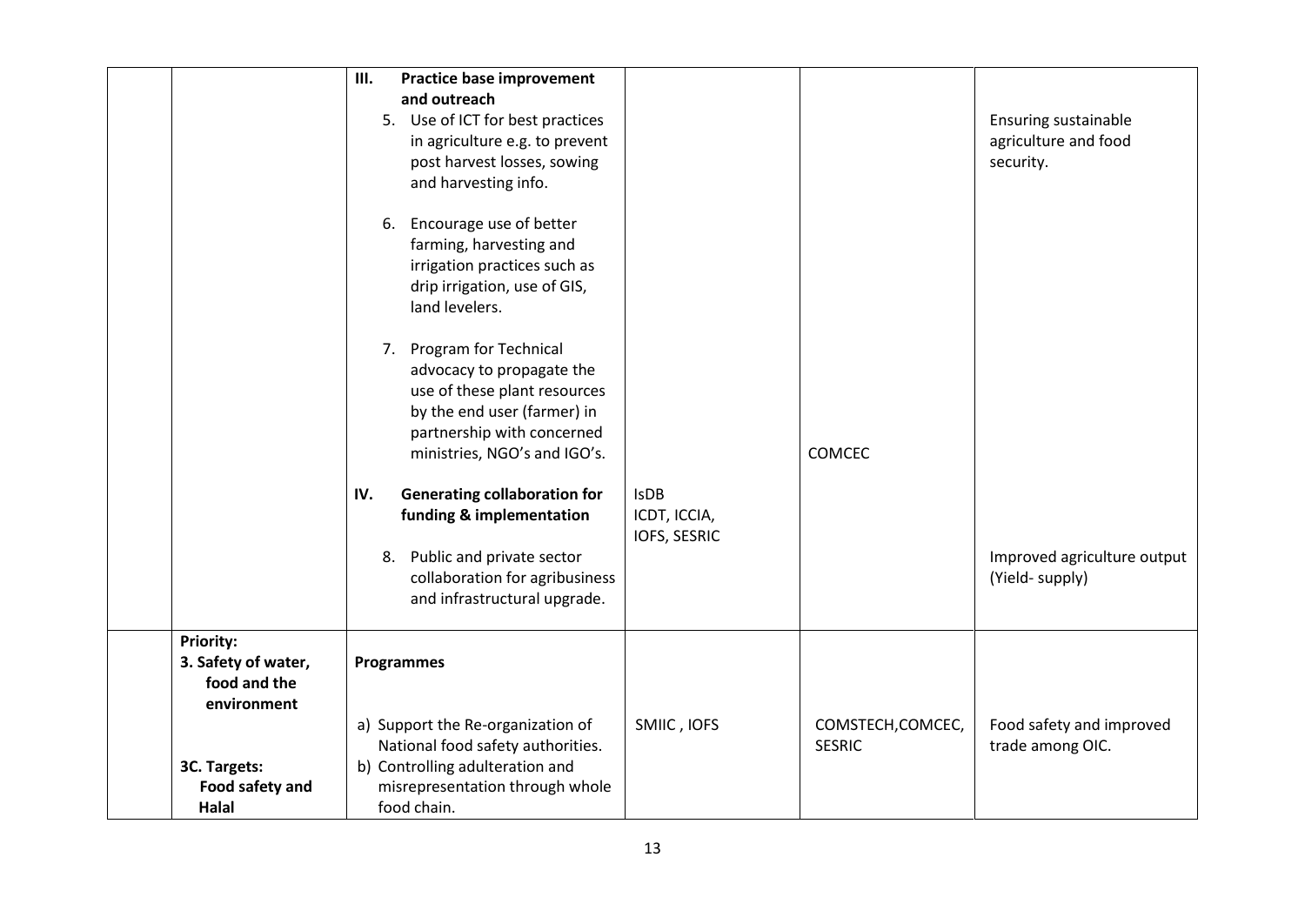|                                                                        | Ш.<br><b>Practice base improvement</b><br>and outreach<br>5. Use of ICT for best practices<br>in agriculture e.g. to prevent<br>post harvest losses, sowing<br>and harvesting info.                         |                                             |                                    | Ensuring sustainable<br>agriculture and food<br>security. |
|------------------------------------------------------------------------|-------------------------------------------------------------------------------------------------------------------------------------------------------------------------------------------------------------|---------------------------------------------|------------------------------------|-----------------------------------------------------------|
|                                                                        | Encourage use of better<br>6.<br>farming, harvesting and<br>irrigation practices such as<br>drip irrigation, use of GIS,<br>land levelers.                                                                  |                                             |                                    |                                                           |
|                                                                        | Program for Technical<br>7.<br>advocacy to propagate the<br>use of these plant resources<br>by the end user (farmer) in<br>partnership with concerned                                                       |                                             |                                    |                                                           |
|                                                                        | ministries, NGO's and IGO's.<br><b>Generating collaboration for</b><br>IV.<br>funding & implementation<br>Public and private sector<br>8.<br>collaboration for agribusiness<br>and infrastructural upgrade. | <b>IsDB</b><br>ICDT, ICCIA,<br>IOFS, SESRIC | COMCEC                             | Improved agriculture output<br>(Yield-supply)             |
| <b>Priority:</b><br>3. Safety of water,<br>food and the<br>environment | <b>Programmes</b>                                                                                                                                                                                           |                                             |                                    |                                                           |
| 3C. Targets:<br>Food safety and<br><b>Halal</b>                        | a) Support the Re-organization of<br>National food safety authorities.<br>b) Controlling adulteration and<br>misrepresentation through whole<br>food chain.                                                 | SMIIC, IOFS                                 | COMSTECH, COMCEC,<br><b>SESRIC</b> | Food safety and improved<br>trade among OIC.              |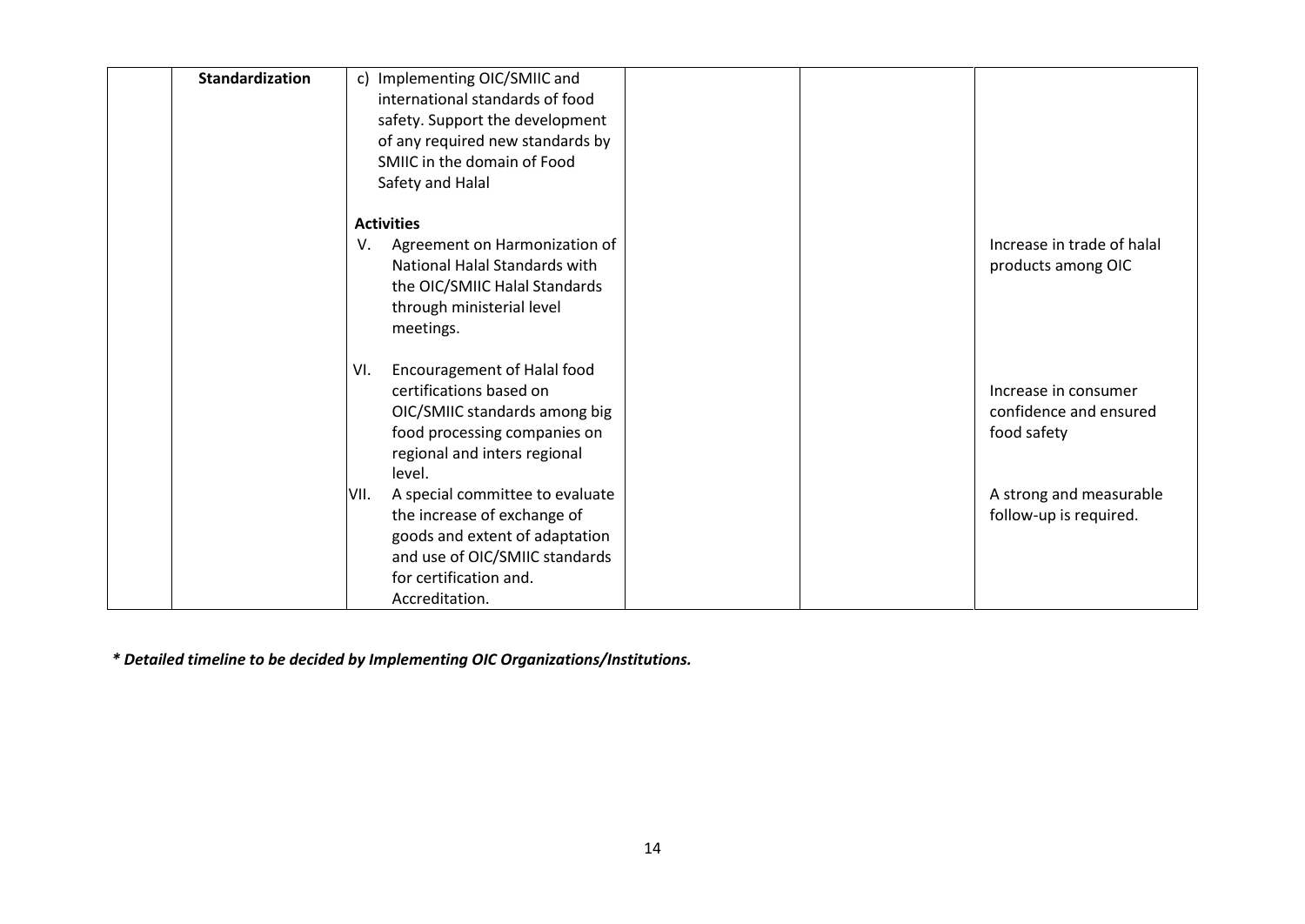| Standardization | c) Implementing OIC/SMIIC and<br>international standards of food<br>safety. Support the development<br>of any required new standards by                                                |  |                                                               |
|-----------------|----------------------------------------------------------------------------------------------------------------------------------------------------------------------------------------|--|---------------------------------------------------------------|
|                 | SMIIC in the domain of Food<br>Safety and Halal                                                                                                                                        |  |                                                               |
|                 | <b>Activities</b><br>Agreement on Harmonization of<br>V.<br><b>National Halal Standards with</b><br>the OIC/SMIIC Halal Standards<br>through ministerial level<br>meetings.            |  | Increase in trade of halal<br>products among OIC              |
|                 | Encouragement of Halal food<br>VI.<br>certifications based on<br>OIC/SMIIC standards among big<br>food processing companies on<br>regional and inters regional<br>level.               |  | Increase in consumer<br>confidence and ensured<br>food safety |
|                 | A special committee to evaluate<br>VII.<br>the increase of exchange of<br>goods and extent of adaptation<br>and use of OIC/SMIIC standards<br>for certification and.<br>Accreditation. |  | A strong and measurable<br>follow-up is required.             |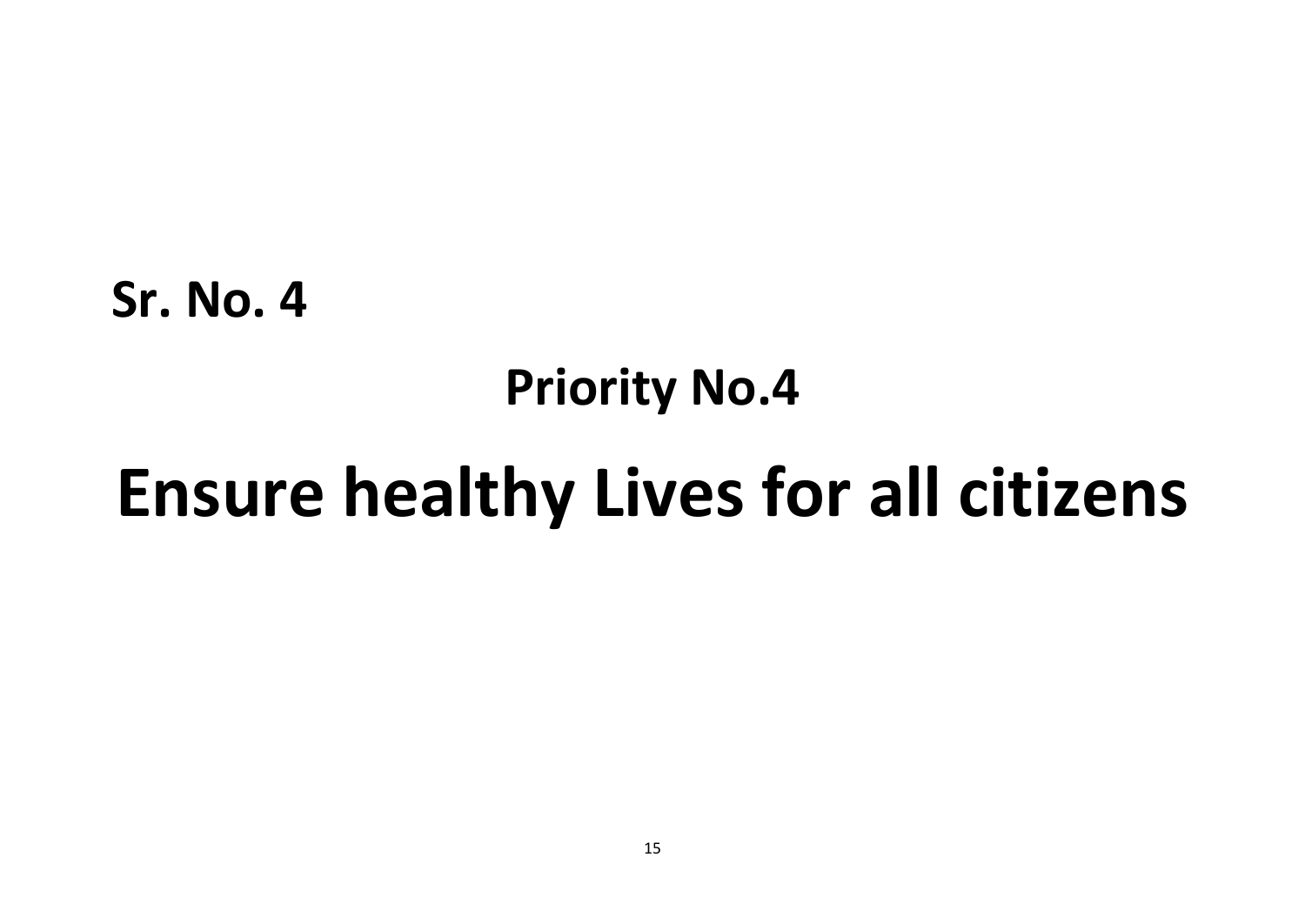# **Priority No.4**

## **Ensure healthy Lives for all citizens**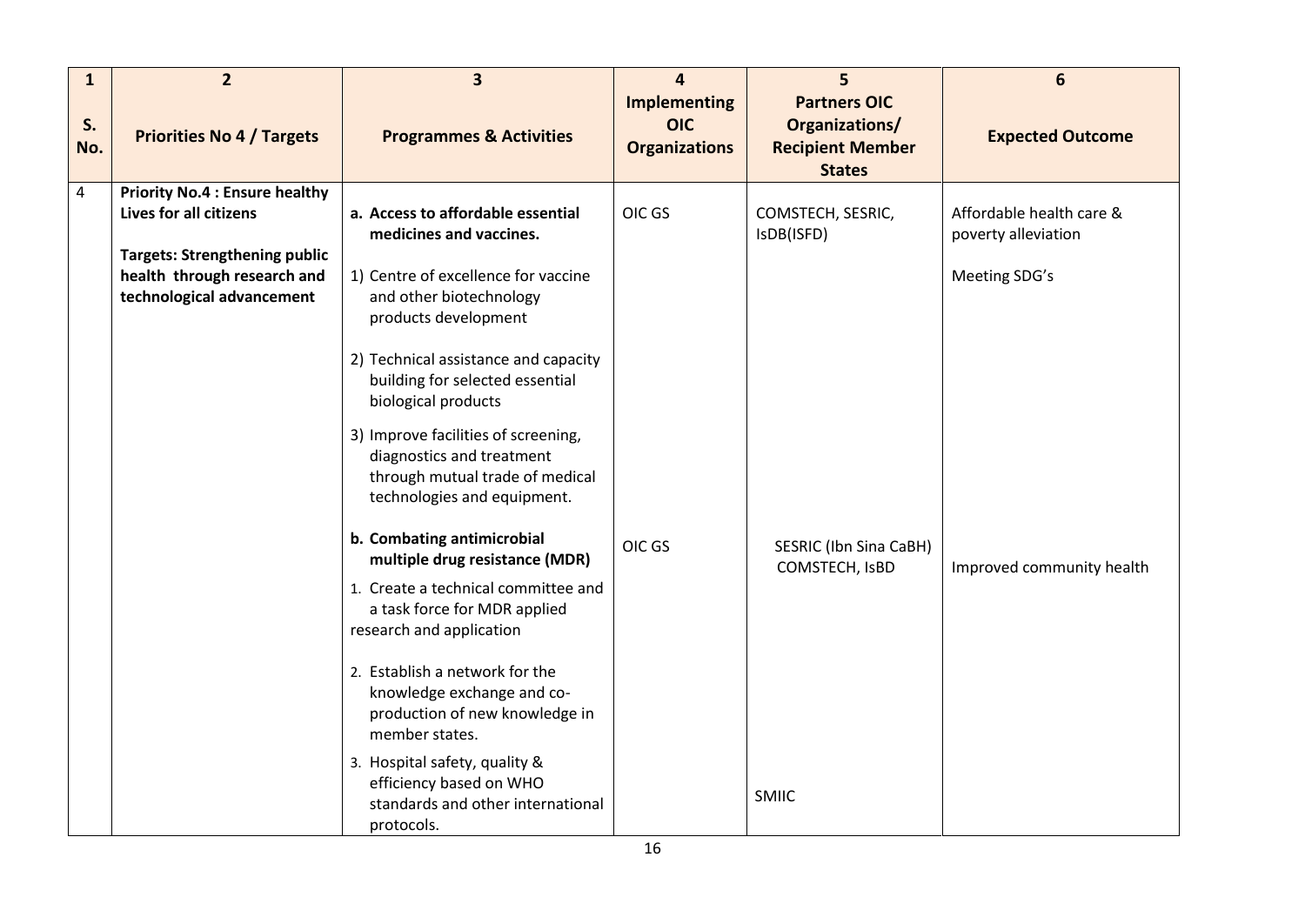| $\mathbf{1}$            | $\overline{2}$                                                                                                                                                             | $\overline{\mathbf{3}}$                                                                                                                                                                                                                                                                                                                                                                                                                                                                                                                                                                                                                                             | $\overline{a}$                                            | 5                                                                                 | 6                                                                                             |
|-------------------------|----------------------------------------------------------------------------------------------------------------------------------------------------------------------------|---------------------------------------------------------------------------------------------------------------------------------------------------------------------------------------------------------------------------------------------------------------------------------------------------------------------------------------------------------------------------------------------------------------------------------------------------------------------------------------------------------------------------------------------------------------------------------------------------------------------------------------------------------------------|-----------------------------------------------------------|-----------------------------------------------------------------------------------|-----------------------------------------------------------------------------------------------|
| S.<br>No.               | <b>Priorities No 4 / Targets</b>                                                                                                                                           | <b>Programmes &amp; Activities</b>                                                                                                                                                                                                                                                                                                                                                                                                                                                                                                                                                                                                                                  | <b>Implementing</b><br><b>OIC</b><br><b>Organizations</b> | <b>Partners OIC</b><br>Organizations/<br><b>Recipient Member</b><br><b>States</b> | <b>Expected Outcome</b>                                                                       |
| $\overline{\mathbf{4}}$ | <b>Priority No.4 : Ensure healthy</b><br><b>Lives for all citizens</b><br><b>Targets: Strengthening public</b><br>health through research and<br>technological advancement | a. Access to affordable essential<br>medicines and vaccines.<br>1) Centre of excellence for vaccine<br>and other biotechnology<br>products development<br>2) Technical assistance and capacity<br>building for selected essential<br>biological products<br>3) Improve facilities of screening,<br>diagnostics and treatment<br>through mutual trade of medical<br>technologies and equipment.<br>b. Combating antimicrobial<br>multiple drug resistance (MDR)<br>1. Create a technical committee and<br>a task force for MDR applied<br>research and application<br>2. Establish a network for the<br>knowledge exchange and co-<br>production of new knowledge in | OIC GS<br>OIC GS                                          | COMSTECH, SESRIC,<br>IsDB(ISFD)<br>SESRIC (Ibn Sina CaBH)<br>COMSTECH, ISBD       | Affordable health care &<br>poverty alleviation<br>Meeting SDG's<br>Improved community health |
|                         |                                                                                                                                                                            | member states.<br>3. Hospital safety, quality &<br>efficiency based on WHO<br>standards and other international<br>protocols.                                                                                                                                                                                                                                                                                                                                                                                                                                                                                                                                       |                                                           | SMIIC                                                                             |                                                                                               |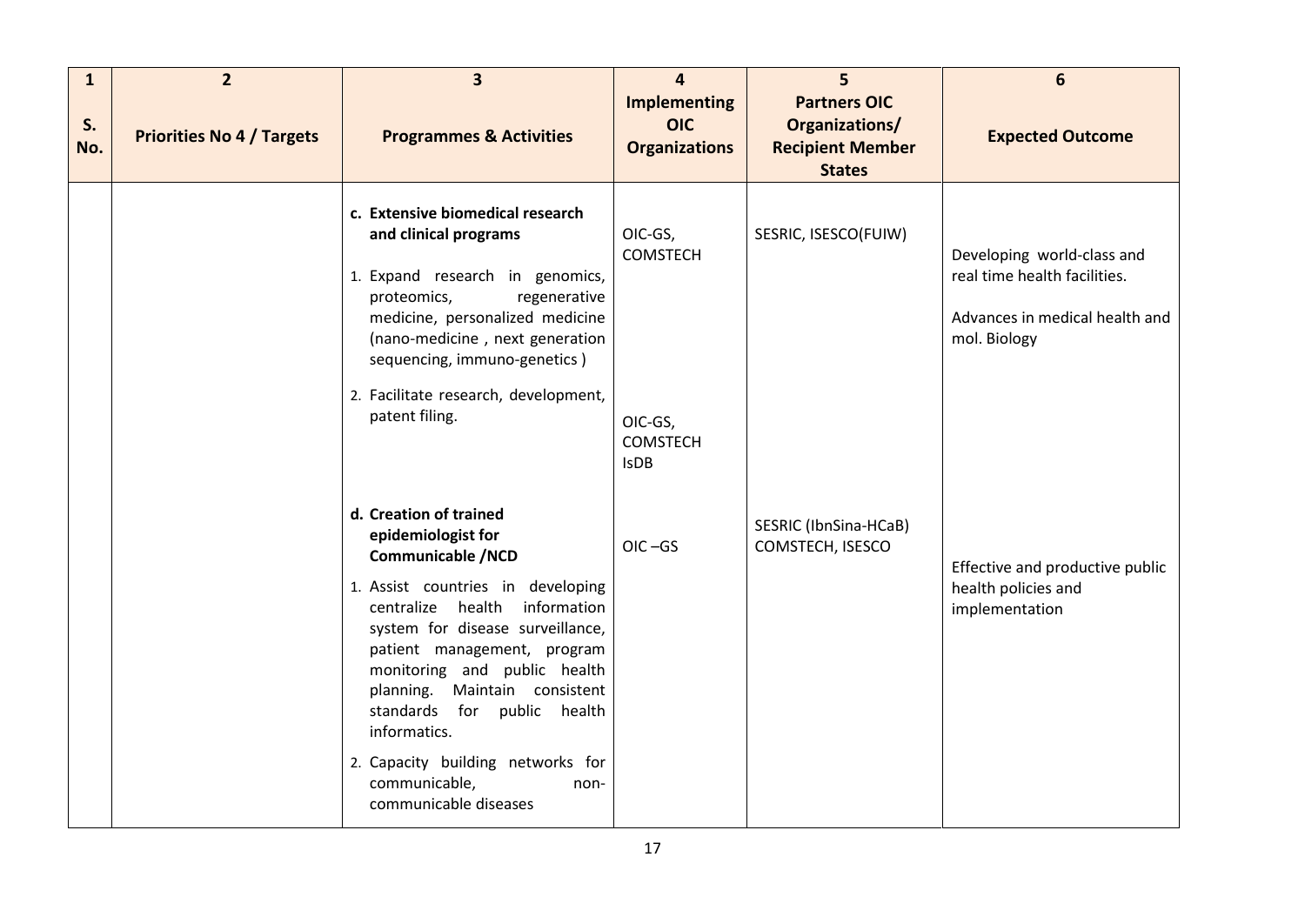| $\mathbf{1}$<br>S.<br>No. | $\overline{2}$<br><b>Priorities No 4 / Targets</b> | $\overline{\mathbf{3}}$<br><b>Programmes &amp; Activities</b>                                                                                                                                                                                                                                                                                                                                                                  | 4<br><b>Implementing</b><br><b>OIC</b><br><b>Organizations</b>          | 5<br><b>Partners OIC</b><br>Organizations/<br><b>Recipient Member</b><br><b>States</b> | 6<br><b>Expected Outcome</b>                                                                                 |
|---------------------------|----------------------------------------------------|--------------------------------------------------------------------------------------------------------------------------------------------------------------------------------------------------------------------------------------------------------------------------------------------------------------------------------------------------------------------------------------------------------------------------------|-------------------------------------------------------------------------|----------------------------------------------------------------------------------------|--------------------------------------------------------------------------------------------------------------|
|                           |                                                    | c. Extensive biomedical research<br>and clinical programs<br>1. Expand research in genomics,<br>proteomics,<br>regenerative<br>medicine, personalized medicine<br>(nano-medicine, next generation<br>sequencing, immuno-genetics)<br>2. Facilitate research, development,<br>patent filing.                                                                                                                                    | OIC-GS,<br><b>COMSTECH</b><br>OIC-GS,<br><b>COMSTECH</b><br><b>IsDB</b> | SESRIC, ISESCO(FUIW)                                                                   | Developing world-class and<br>real time health facilities.<br>Advances in medical health and<br>mol. Biology |
|                           |                                                    | d. Creation of trained<br>epidemiologist for<br><b>Communicable /NCD</b><br>1. Assist countries in developing<br>information<br>centralize health<br>system for disease surveillance,<br>patient management, program<br>monitoring and public health<br>Maintain consistent<br>planning.<br>standards for public health<br>informatics.<br>2. Capacity building networks for<br>communicable,<br>non-<br>communicable diseases | $OIC - GS$                                                              | SESRIC (IbnSina-HCaB)<br>COMSTECH, ISESCO                                              | Effective and productive public<br>health policies and<br>implementation                                     |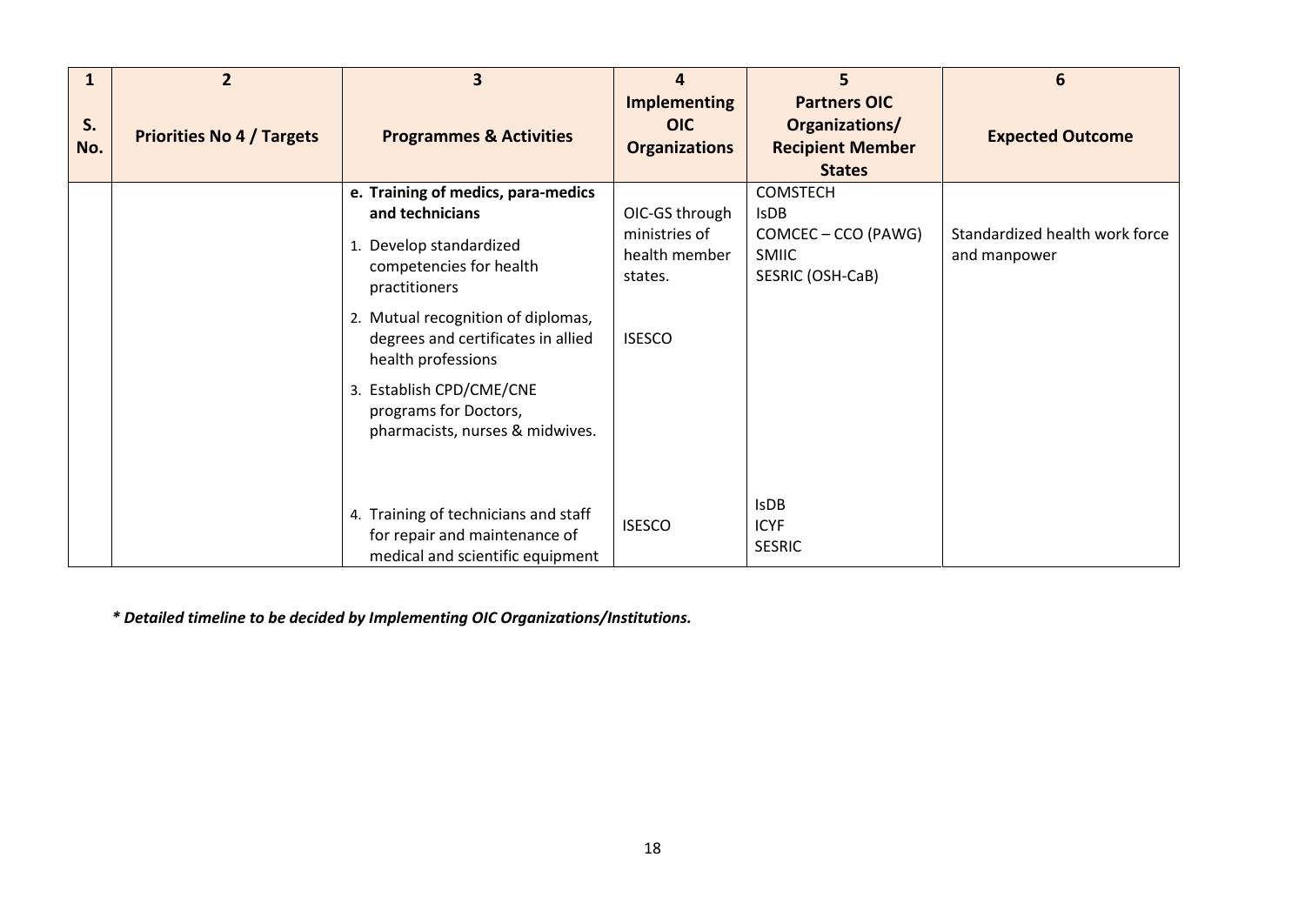| 1         | $\overline{2}$                   | $\overline{\mathbf{3}}$                                                                                                                                                                                                                                                                                                   | 4                                                                            | 5                                                                                         | 6                                              |
|-----------|----------------------------------|---------------------------------------------------------------------------------------------------------------------------------------------------------------------------------------------------------------------------------------------------------------------------------------------------------------------------|------------------------------------------------------------------------------|-------------------------------------------------------------------------------------------|------------------------------------------------|
| S.<br>No. | <b>Priorities No 4 / Targets</b> | <b>Programmes &amp; Activities</b>                                                                                                                                                                                                                                                                                        | <b>Implementing</b><br><b>OIC</b><br><b>Organizations</b>                    | <b>Partners OIC</b><br>Organizations/<br><b>Recipient Member</b><br><b>States</b>         | <b>Expected Outcome</b>                        |
|           |                                  | e. Training of medics, para-medics<br>and technicians<br>Develop standardized<br>1.<br>competencies for health<br>practitioners<br>2. Mutual recognition of diplomas,<br>degrees and certificates in allied<br>health professions<br>3. Establish CPD/CME/CNE<br>programs for Doctors,<br>pharmacists, nurses & midwives. | OIC-GS through<br>ministries of<br>health member<br>states.<br><b>ISESCO</b> | <b>COMSTECH</b><br><b>IsDB</b><br>COMCEC - CCO (PAWG)<br><b>SMIIC</b><br>SESRIC (OSH-CaB) | Standardized health work force<br>and manpower |
|           |                                  | 4. Training of technicians and staff<br>for repair and maintenance of<br>medical and scientific equipment                                                                                                                                                                                                                 | <b>ISESCO</b>                                                                | <b>IsDB</b><br><b>ICYF</b><br><b>SESRIC</b>                                               |                                                |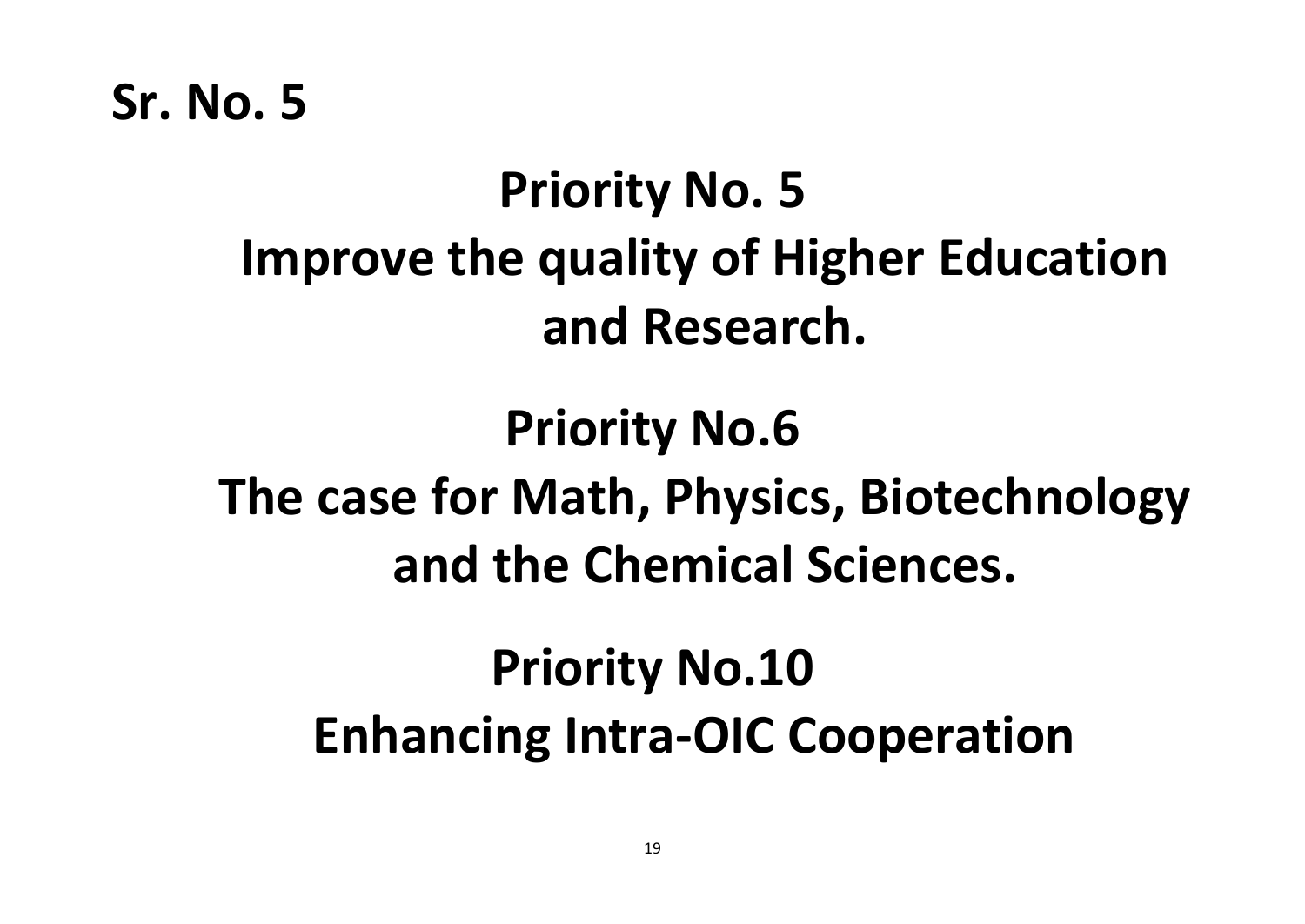### **Priority No. 5 Improve the quality of Higher Education and Research.**

### **Priority No.6 The case for Math, Physics, Biotechnology and the Chemical Sciences.**

### **Priority No.10 Enhancing Intra-OIC Cooperation**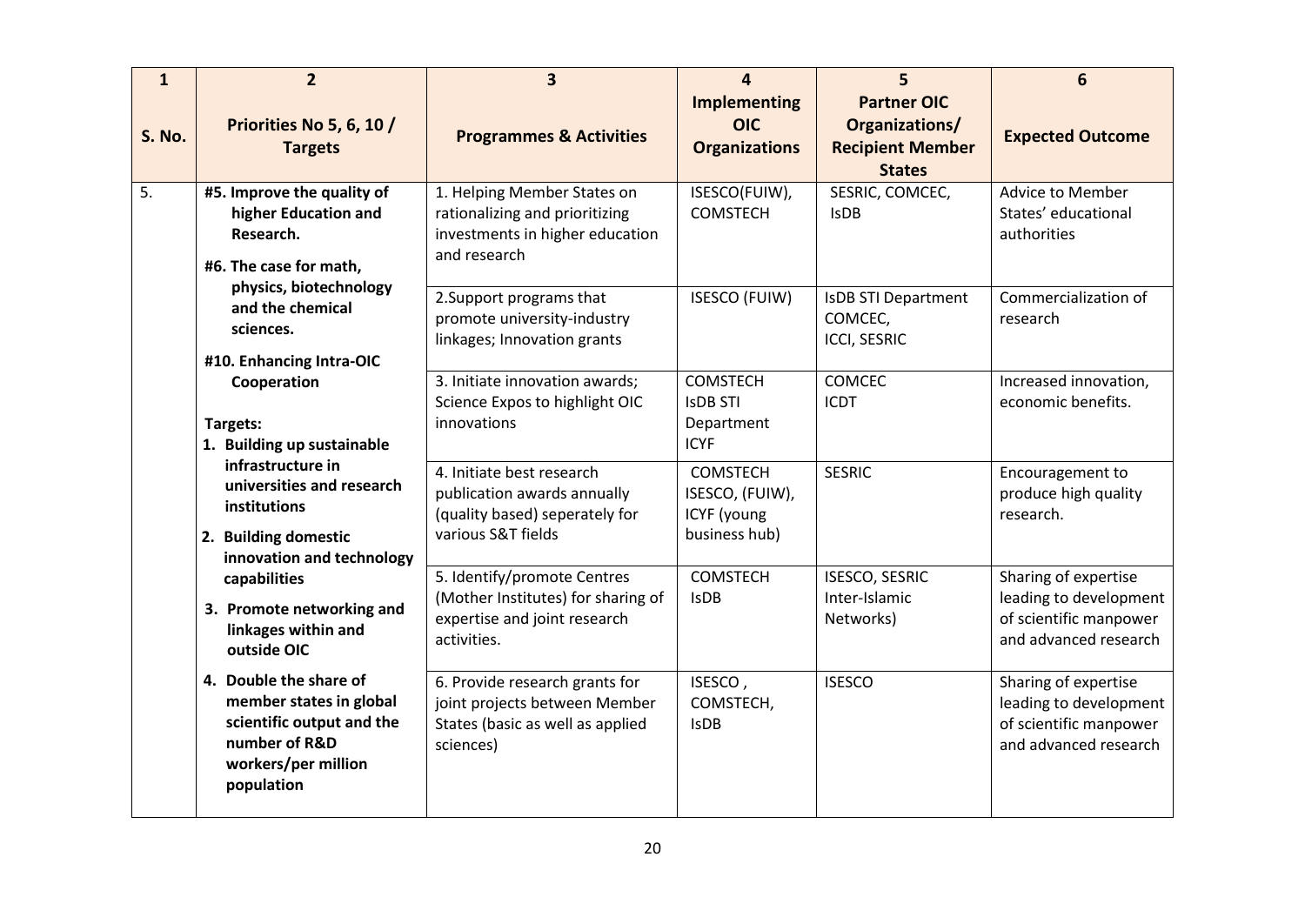| $\mathbf{1}$ | $\overline{2}$                                                                                                                       | $\overline{\mathbf{3}}$                                                                                          | 4                                                                  | 5                                                                                | 6                                                                                                 |
|--------------|--------------------------------------------------------------------------------------------------------------------------------------|------------------------------------------------------------------------------------------------------------------|--------------------------------------------------------------------|----------------------------------------------------------------------------------|---------------------------------------------------------------------------------------------------|
| S. No.       | Priorities No 5, 6, 10 /<br><b>Targets</b>                                                                                           | <b>Programmes &amp; Activities</b>                                                                               | <b>Implementing</b><br><b>OIC</b><br><b>Organizations</b>          | <b>Partner OIC</b><br>Organizations/<br><b>Recipient Member</b><br><b>States</b> | <b>Expected Outcome</b>                                                                           |
| 5.           | #5. Improve the quality of<br>higher Education and<br>Research.<br>#6. The case for math,                                            | 1. Helping Member States on<br>rationalizing and prioritizing<br>investments in higher education<br>and research | ISESCO(FUIW),<br><b>COMSTECH</b>                                   | SESRIC, COMCEC,<br><b>IsDB</b>                                                   | Advice to Member<br>States' educational<br>authorities                                            |
|              | physics, biotechnology<br>and the chemical<br>sciences.<br>#10. Enhancing Intra-OIC                                                  | 2. Support programs that<br>promote university-industry<br>linkages; Innovation grants                           | <b>ISESCO (FUIW)</b>                                               | <b>IsDB STI Department</b><br>COMCEC,<br><b>ICCI, SESRIC</b>                     | Commercialization of<br>research                                                                  |
|              | Cooperation<br>Targets:<br>1. Building up sustainable                                                                                | 3. Initiate innovation awards;<br>Science Expos to highlight OIC<br>innovations                                  | <b>COMSTECH</b><br><b>ISDB STI</b><br>Department<br><b>ICYF</b>    | <b>COMCEC</b><br><b>ICDT</b>                                                     | Increased innovation,<br>economic benefits.                                                       |
|              | infrastructure in<br>universities and research<br>institutions<br>2. Building domestic                                               | 4. Initiate best research<br>publication awards annually<br>(quality based) seperately for<br>various S&T fields | <b>COMSTECH</b><br>ISESCO, (FUIW),<br>ICYF (young<br>business hub) | <b>SESRIC</b>                                                                    | Encouragement to<br>produce high quality<br>research.                                             |
|              | innovation and technology<br>capabilities<br>3. Promote networking and<br>linkages within and<br>outside OIC                         | 5. Identify/promote Centres<br>(Mother Institutes) for sharing of<br>expertise and joint research<br>activities. | <b>COMSTECH</b><br><b>IsDB</b>                                     | <b>ISESCO, SESRIC</b><br>Inter-Islamic<br>Networks)                              | Sharing of expertise<br>leading to development<br>of scientific manpower<br>and advanced research |
|              | 4. Double the share of<br>member states in global<br>scientific output and the<br>number of R&D<br>workers/per million<br>population | 6. Provide research grants for<br>joint projects between Member<br>States (basic as well as applied<br>sciences) | ISESCO,<br>COMSTECH,<br><b>IsDB</b>                                | <b>ISESCO</b>                                                                    | Sharing of expertise<br>leading to development<br>of scientific manpower<br>and advanced research |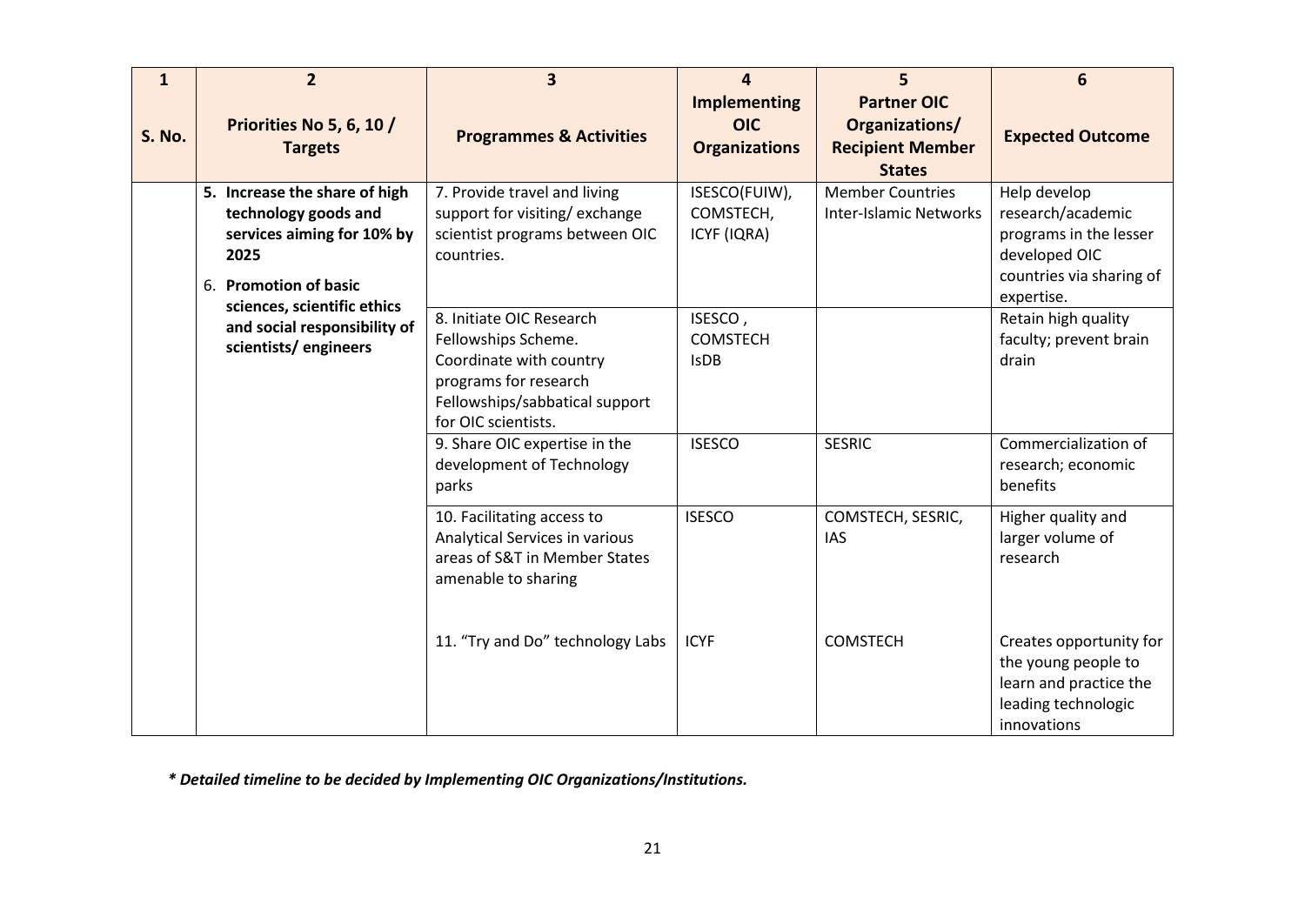| $\mathbf{1}$  | $\overline{2}$                                                                                                       | 3                                                                                                                                                            | $\Delta$                                                  | 5                                                                                | 6                                                                                                                      |
|---------------|----------------------------------------------------------------------------------------------------------------------|--------------------------------------------------------------------------------------------------------------------------------------------------------------|-----------------------------------------------------------|----------------------------------------------------------------------------------|------------------------------------------------------------------------------------------------------------------------|
| <b>S. No.</b> | Priorities No 5, 6, 10 /<br><b>Targets</b>                                                                           | <b>Programmes &amp; Activities</b>                                                                                                                           | <b>Implementing</b><br><b>OIC</b><br><b>Organizations</b> | <b>Partner OIC</b><br>Organizations/<br><b>Recipient Member</b><br><b>States</b> | <b>Expected Outcome</b>                                                                                                |
|               | 5. Increase the share of high<br>technology goods and<br>services aiming for 10% by<br>2025<br>6. Promotion of basic | 7. Provide travel and living<br>support for visiting/exchange<br>scientist programs between OIC<br>countries.                                                | ISESCO(FUIW),<br>COMSTECH,<br><b>ICYF (IQRA)</b>          | <b>Member Countries</b><br><b>Inter-Islamic Networks</b>                         | Help develop<br>research/academic<br>programs in the lesser<br>developed OIC<br>countries via sharing of<br>expertise. |
|               | sciences, scientific ethics<br>and social responsibility of<br>scientists/engineers                                  | 8. Initiate OIC Research<br>Fellowships Scheme.<br>Coordinate with country<br>programs for research<br>Fellowships/sabbatical support<br>for OIC scientists. | ISESCO,<br><b>COMSTECH</b><br><b>IsDB</b>                 |                                                                                  | Retain high quality<br>faculty; prevent brain<br>drain                                                                 |
|               |                                                                                                                      | 9. Share OIC expertise in the<br>development of Technology<br>parks                                                                                          | <b>ISESCO</b>                                             | <b>SESRIC</b>                                                                    | Commercialization of<br>research; economic<br>benefits                                                                 |
|               |                                                                                                                      | 10. Facilitating access to<br><b>Analytical Services in various</b><br>areas of S&T in Member States<br>amenable to sharing                                  | <b>ISESCO</b>                                             | COMSTECH, SESRIC,<br><b>IAS</b>                                                  | Higher quality and<br>larger volume of<br>research                                                                     |
|               |                                                                                                                      | 11. "Try and Do" technology Labs                                                                                                                             | <b>ICYF</b>                                               | <b>COMSTECH</b>                                                                  | Creates opportunity for<br>the young people to<br>learn and practice the<br>leading technologic<br>innovations         |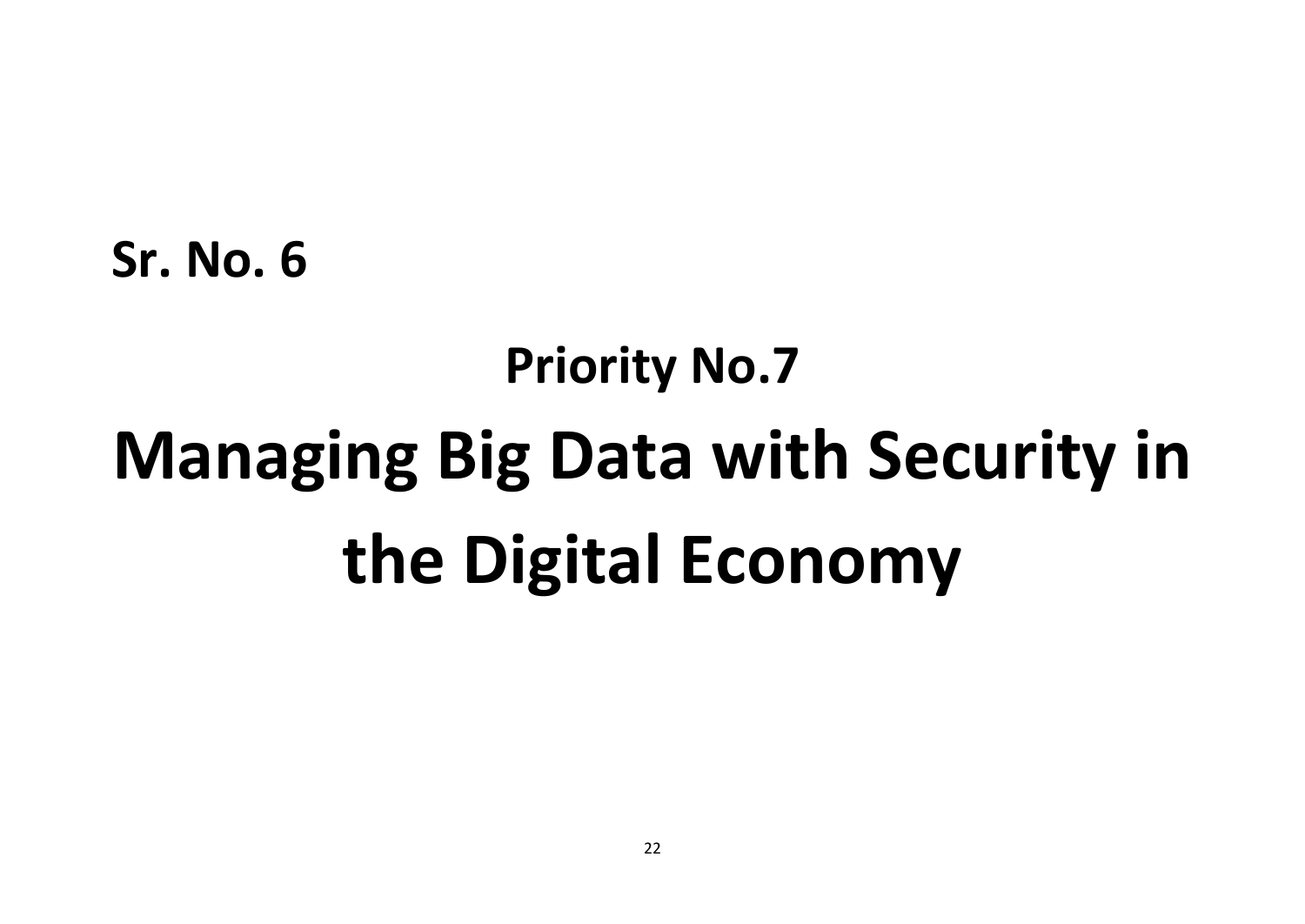# **Priority No.7 Managing Big Data with Security in the Digital Economy**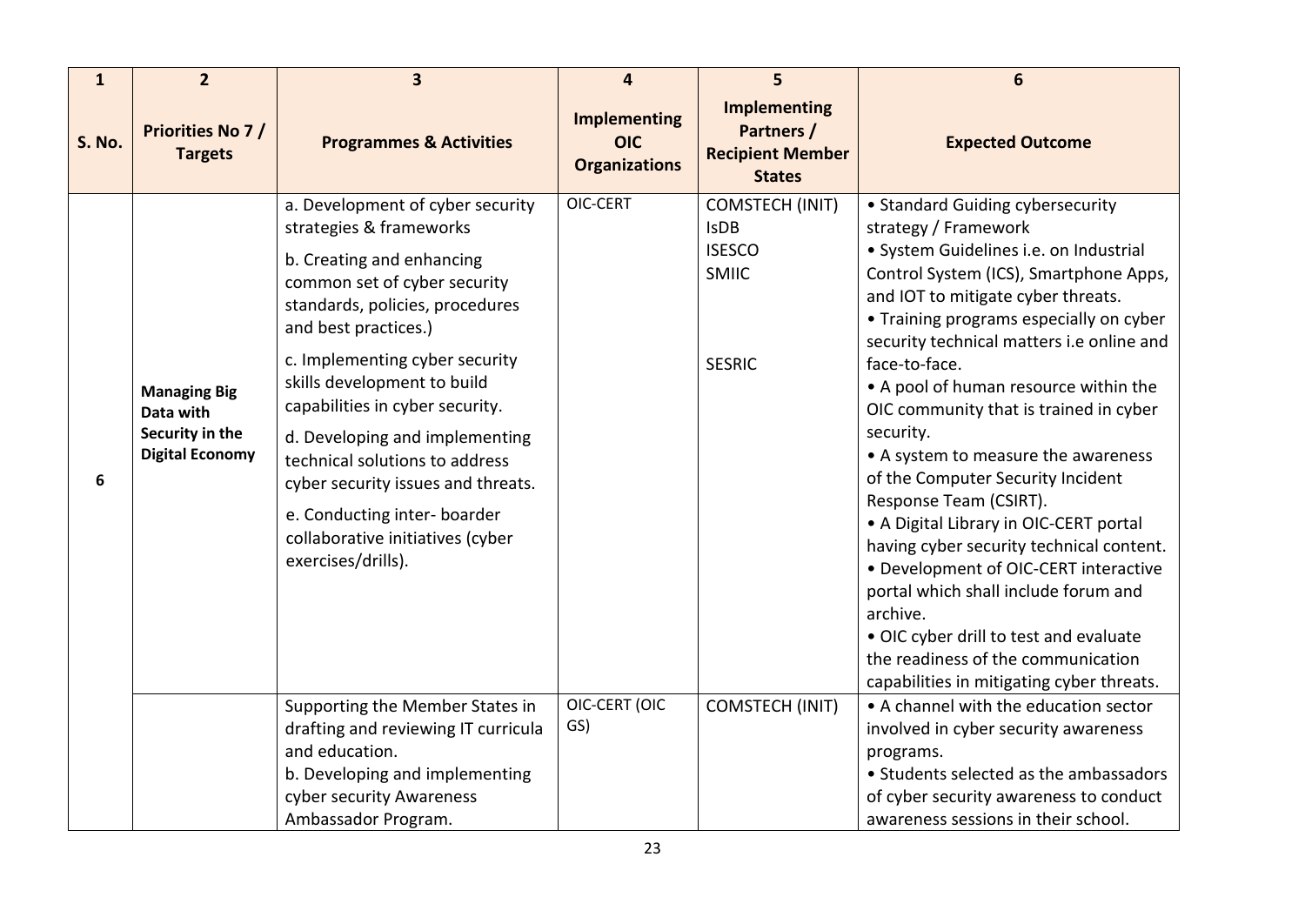| $\mathbf{1}$  | $\overline{2}$                                                                | $\overline{\mathbf{3}}$                                                                                                                                                                                                                                                                                                                                                                                                                                                                     | $\overline{4}$                                     | 5                                                                                    | 6                                                                                                                                                                                                                                                                                                                                                                                                                                                                                                                                                                                                                                                                                                                                                                                                                 |
|---------------|-------------------------------------------------------------------------------|---------------------------------------------------------------------------------------------------------------------------------------------------------------------------------------------------------------------------------------------------------------------------------------------------------------------------------------------------------------------------------------------------------------------------------------------------------------------------------------------|----------------------------------------------------|--------------------------------------------------------------------------------------|-------------------------------------------------------------------------------------------------------------------------------------------------------------------------------------------------------------------------------------------------------------------------------------------------------------------------------------------------------------------------------------------------------------------------------------------------------------------------------------------------------------------------------------------------------------------------------------------------------------------------------------------------------------------------------------------------------------------------------------------------------------------------------------------------------------------|
| <b>S. No.</b> | <b>Priorities No 7/</b><br><b>Targets</b>                                     | <b>Programmes &amp; Activities</b>                                                                                                                                                                                                                                                                                                                                                                                                                                                          | Implementing<br><b>OIC</b><br><b>Organizations</b> | <b>Implementing</b><br><b>Partners /</b><br><b>Recipient Member</b><br><b>States</b> | <b>Expected Outcome</b>                                                                                                                                                                                                                                                                                                                                                                                                                                                                                                                                                                                                                                                                                                                                                                                           |
| 6             | <b>Managing Big</b><br>Data with<br>Security in the<br><b>Digital Economy</b> | a. Development of cyber security<br>strategies & frameworks<br>b. Creating and enhancing<br>common set of cyber security<br>standards, policies, procedures<br>and best practices.)<br>c. Implementing cyber security<br>skills development to build<br>capabilities in cyber security.<br>d. Developing and implementing<br>technical solutions to address<br>cyber security issues and threats.<br>e. Conducting inter- boarder<br>collaborative initiatives (cyber<br>exercises/drills). | <b>OIC-CERT</b>                                    | <b>COMSTECH (INIT)</b><br><b>IsDB</b><br><b>ISESCO</b><br>SMIIC<br><b>SESRIC</b>     | • Standard Guiding cybersecurity<br>strategy / Framework<br>· System Guidelines i.e. on Industrial<br>Control System (ICS), Smartphone Apps,<br>and IOT to mitigate cyber threats.<br>• Training programs especially on cyber<br>security technical matters i.e online and<br>face-to-face.<br>• A pool of human resource within the<br>OIC community that is trained in cyber<br>security.<br>• A system to measure the awareness<br>of the Computer Security Incident<br>Response Team (CSIRT).<br>• A Digital Library in OIC-CERT portal<br>having cyber security technical content.<br>• Development of OIC-CERT interactive<br>portal which shall include forum and<br>archive.<br>• OIC cyber drill to test and evaluate<br>the readiness of the communication<br>capabilities in mitigating cyber threats. |
|               |                                                                               | Supporting the Member States in<br>drafting and reviewing IT curricula<br>and education.                                                                                                                                                                                                                                                                                                                                                                                                    | <b>OIC-CERT (OIC</b><br>GS)                        | <b>COMSTECH (INIT)</b>                                                               | • A channel with the education sector<br>involved in cyber security awareness                                                                                                                                                                                                                                                                                                                                                                                                                                                                                                                                                                                                                                                                                                                                     |
|               |                                                                               | b. Developing and implementing<br>cyber security Awareness<br>Ambassador Program.                                                                                                                                                                                                                                                                                                                                                                                                           |                                                    |                                                                                      | programs.<br>• Students selected as the ambassadors<br>of cyber security awareness to conduct<br>awareness sessions in their school.                                                                                                                                                                                                                                                                                                                                                                                                                                                                                                                                                                                                                                                                              |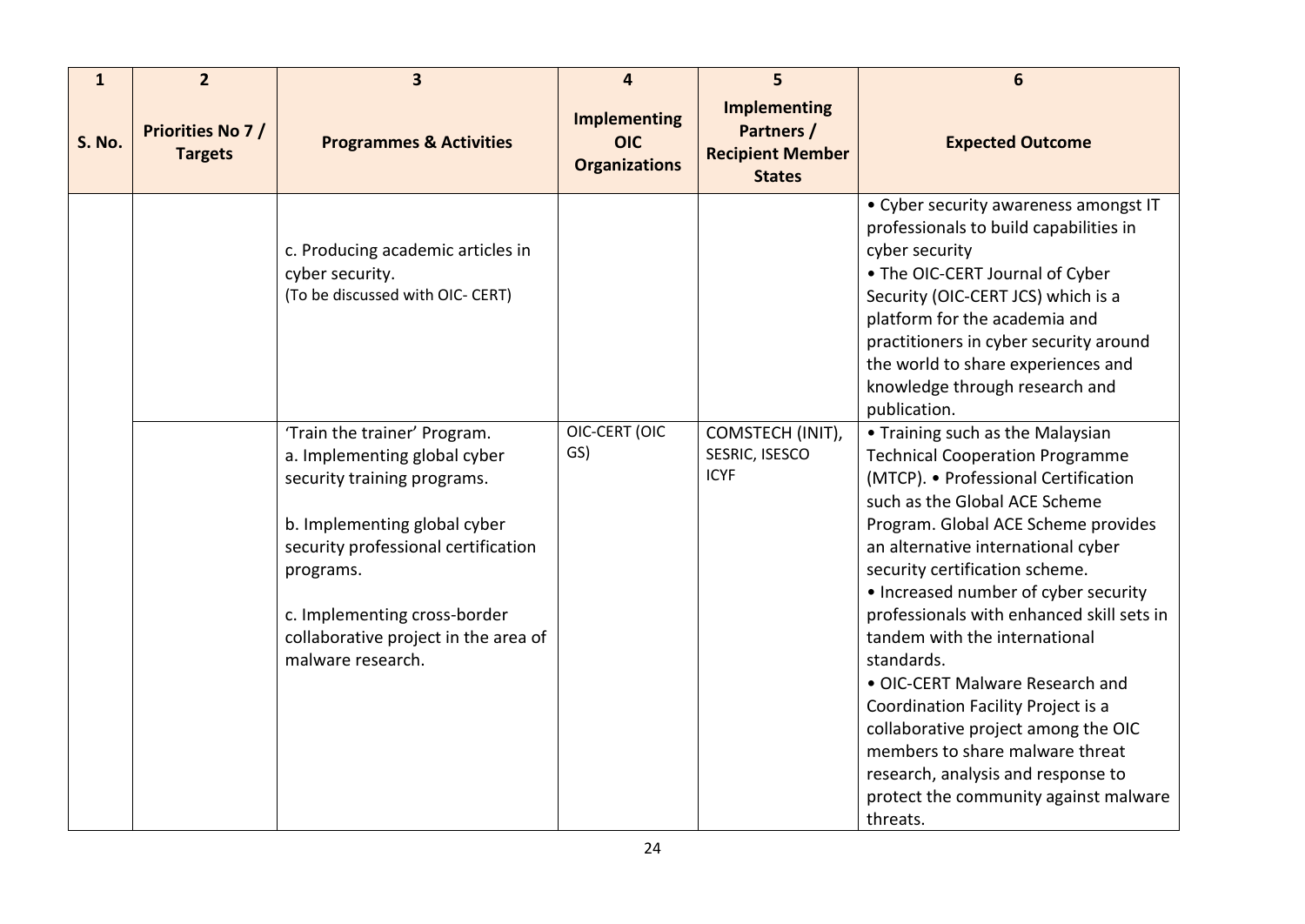| $\mathbf{1}$  | $\overline{2}$                            | $\overline{\mathbf{3}}$                                                                                                                                                                                                                                                      | $\overline{a}$                                            | 5                                                                                    | 6                                                                                                                                                                                                                                                                                                                                                                                                                                                                                                                                                                                                                                                    |
|---------------|-------------------------------------------|------------------------------------------------------------------------------------------------------------------------------------------------------------------------------------------------------------------------------------------------------------------------------|-----------------------------------------------------------|--------------------------------------------------------------------------------------|------------------------------------------------------------------------------------------------------------------------------------------------------------------------------------------------------------------------------------------------------------------------------------------------------------------------------------------------------------------------------------------------------------------------------------------------------------------------------------------------------------------------------------------------------------------------------------------------------------------------------------------------------|
| <b>S. No.</b> | <b>Priorities No 7/</b><br><b>Targets</b> | <b>Programmes &amp; Activities</b>                                                                                                                                                                                                                                           | <b>Implementing</b><br><b>OIC</b><br><b>Organizations</b> | <b>Implementing</b><br><b>Partners /</b><br><b>Recipient Member</b><br><b>States</b> | <b>Expected Outcome</b>                                                                                                                                                                                                                                                                                                                                                                                                                                                                                                                                                                                                                              |
|               |                                           | c. Producing academic articles in<br>cyber security.<br>(To be discussed with OIC- CERT)                                                                                                                                                                                     |                                                           |                                                                                      | • Cyber security awareness amongst IT<br>professionals to build capabilities in<br>cyber security<br>• The OIC-CERT Journal of Cyber<br>Security (OIC-CERT JCS) which is a<br>platform for the academia and<br>practitioners in cyber security around<br>the world to share experiences and<br>knowledge through research and<br>publication.                                                                                                                                                                                                                                                                                                        |
|               |                                           | 'Train the trainer' Program.<br>a. Implementing global cyber<br>security training programs.<br>b. Implementing global cyber<br>security professional certification<br>programs.<br>c. Implementing cross-border<br>collaborative project in the area of<br>malware research. | <b>OIC-CERT (OIC</b><br>GS)                               | COMSTECH (INIT),<br>SESRIC, ISESCO<br><b>ICYF</b>                                    | • Training such as the Malaysian<br><b>Technical Cooperation Programme</b><br>(MTCP). • Professional Certification<br>such as the Global ACE Scheme<br>Program. Global ACE Scheme provides<br>an alternative international cyber<br>security certification scheme.<br>• Increased number of cyber security<br>professionals with enhanced skill sets in<br>tandem with the international<br>standards.<br>• OIC-CERT Malware Research and<br>Coordination Facility Project is a<br>collaborative project among the OIC<br>members to share malware threat<br>research, analysis and response to<br>protect the community against malware<br>threats. |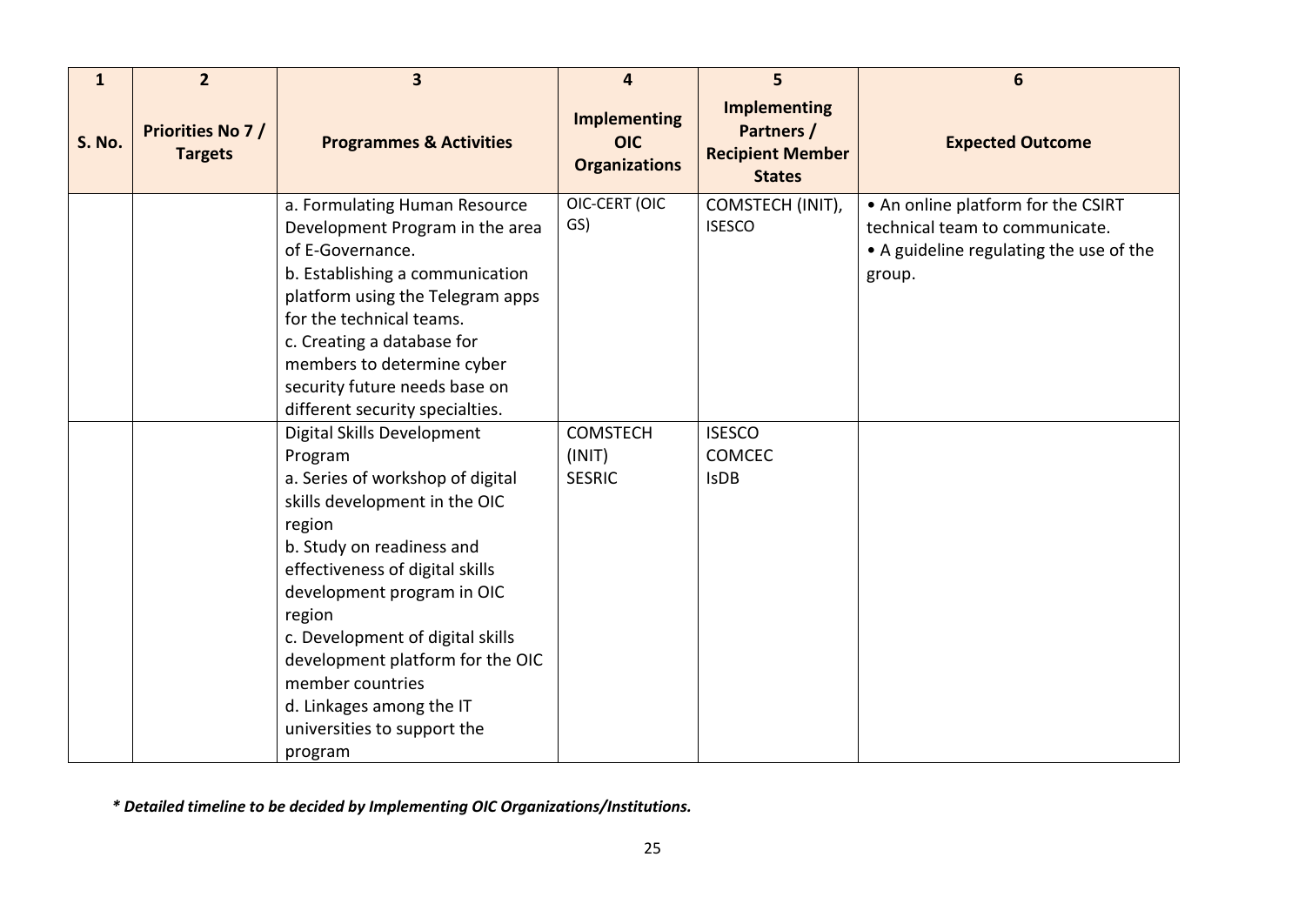| $\mathbf{1}$  | $\overline{2}$                            | $\overline{\mathbf{3}}$                                                                                                                                                                                                                                                                                                                                                                        | $\overline{4}$                                            | 5 <sup>1</sup>                                                                | 6                                                                                                                         |
|---------------|-------------------------------------------|------------------------------------------------------------------------------------------------------------------------------------------------------------------------------------------------------------------------------------------------------------------------------------------------------------------------------------------------------------------------------------------------|-----------------------------------------------------------|-------------------------------------------------------------------------------|---------------------------------------------------------------------------------------------------------------------------|
| <b>S. No.</b> | <b>Priorities No 7/</b><br><b>Targets</b> | <b>Programmes &amp; Activities</b>                                                                                                                                                                                                                                                                                                                                                             | <b>Implementing</b><br><b>OIC</b><br><b>Organizations</b> | <b>Implementing</b><br>Partners /<br><b>Recipient Member</b><br><b>States</b> | <b>Expected Outcome</b>                                                                                                   |
|               |                                           | a. Formulating Human Resource<br>Development Program in the area<br>of E-Governance.<br>b. Establishing a communication<br>platform using the Telegram apps<br>for the technical teams.<br>c. Creating a database for<br>members to determine cyber<br>security future needs base on<br>different security specialties.                                                                        | OIC-CERT (OIC<br>GS)                                      | COMSTECH (INIT),<br><b>ISESCO</b>                                             | • An online platform for the CSIRT<br>technical team to communicate.<br>• A guideline regulating the use of the<br>group. |
|               |                                           | Digital Skills Development<br>Program<br>a. Series of workshop of digital<br>skills development in the OIC<br>region<br>b. Study on readiness and<br>effectiveness of digital skills<br>development program in OIC<br>region<br>c. Development of digital skills<br>development platform for the OIC<br>member countries<br>d. Linkages among the IT<br>universities to support the<br>program | <b>COMSTECH</b><br>(INIT)<br><b>SESRIC</b>                | <b>ISESCO</b><br><b>COMCEC</b><br><b>IsDB</b>                                 |                                                                                                                           |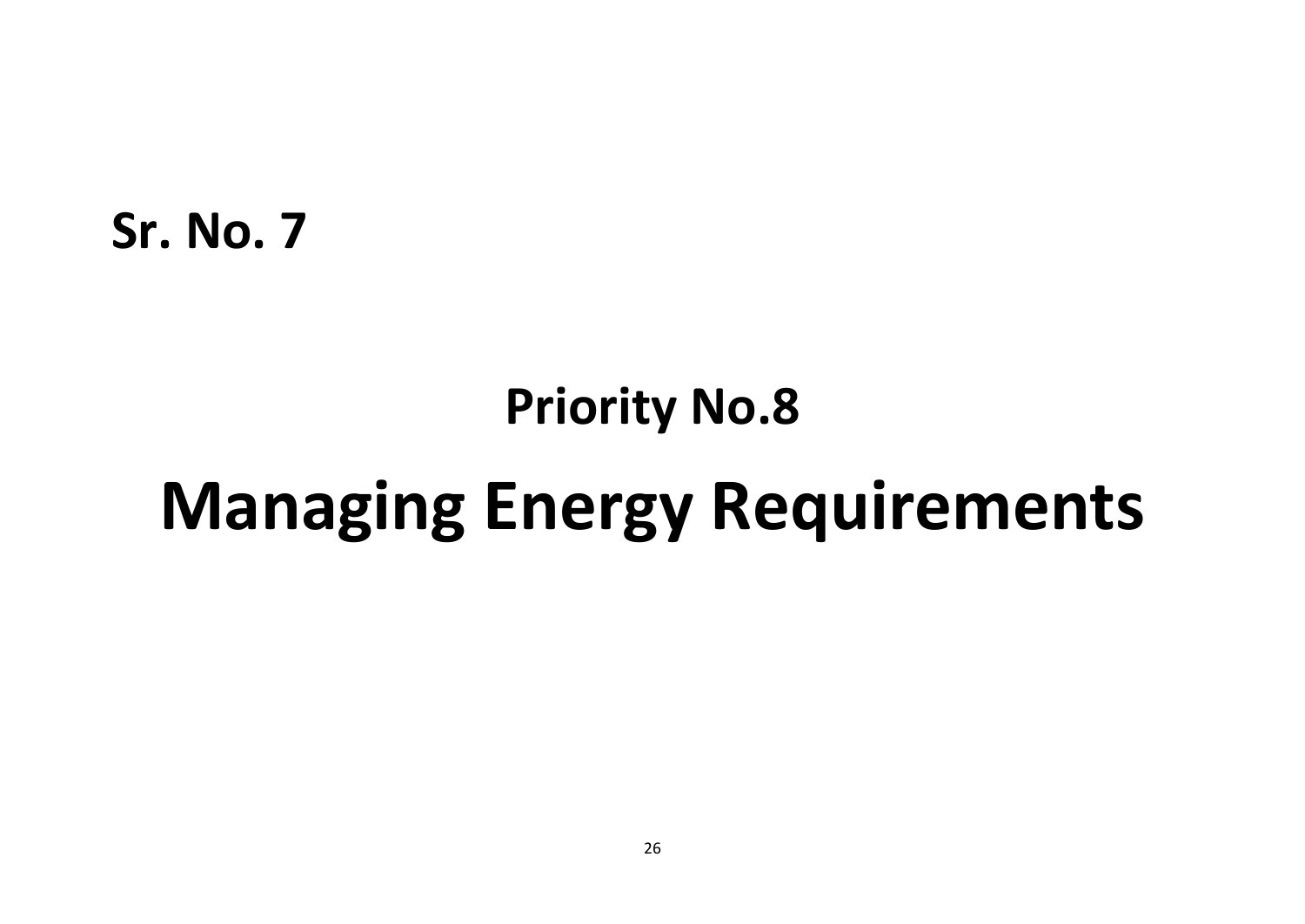## **Priority No.8 Managing Energy Requirements**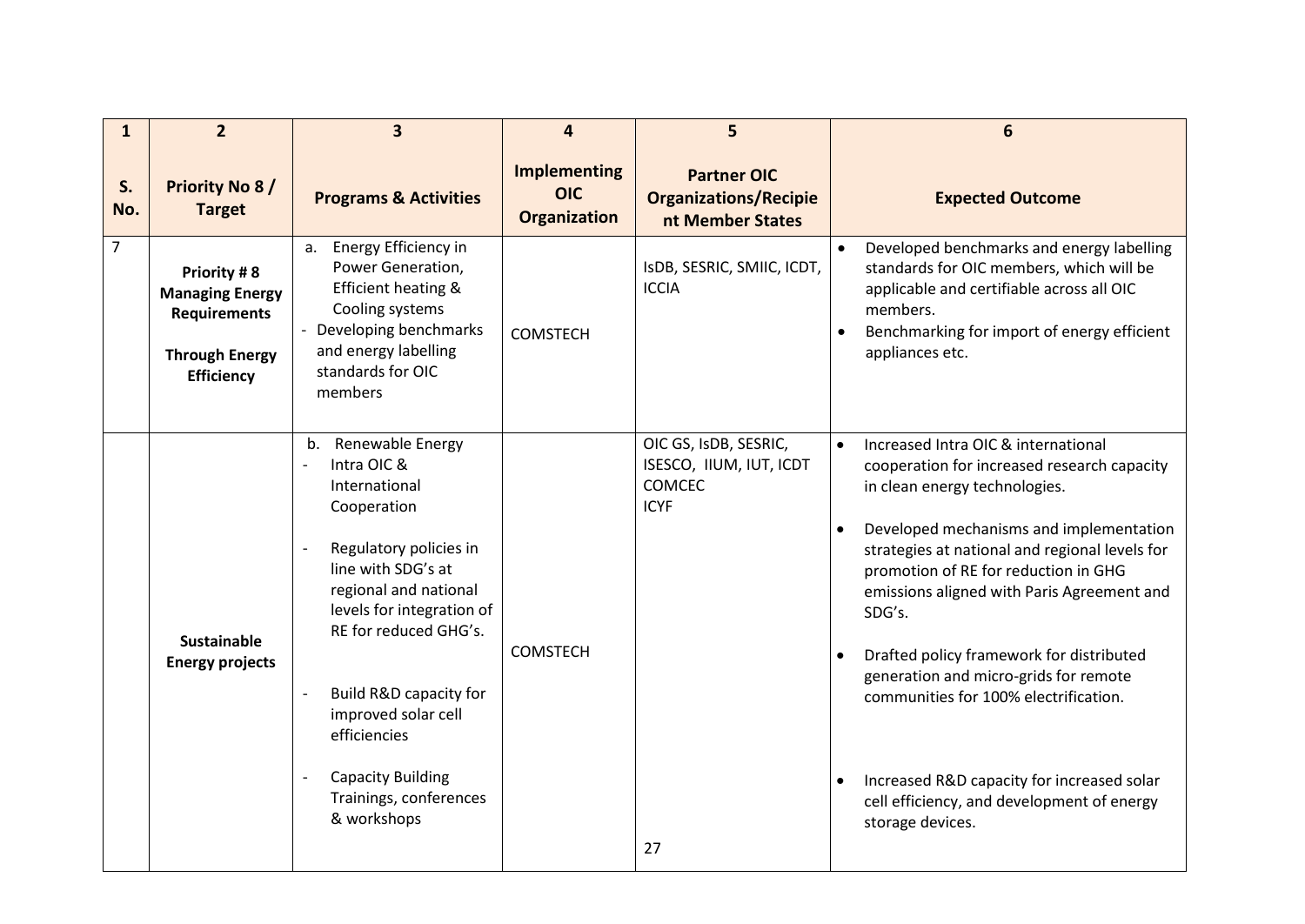| $\mathbf{1}$   | $\overline{2}$                                                                                             | $\overline{\mathbf{3}}$                                                                                                                                                                                                                                                                                                                 | 4                                                        | 5                                                                                      | 6                                                                                                                                                                                                                                                                                                                                                                                                                                                                                                                                                                           |
|----------------|------------------------------------------------------------------------------------------------------------|-----------------------------------------------------------------------------------------------------------------------------------------------------------------------------------------------------------------------------------------------------------------------------------------------------------------------------------------|----------------------------------------------------------|----------------------------------------------------------------------------------------|-----------------------------------------------------------------------------------------------------------------------------------------------------------------------------------------------------------------------------------------------------------------------------------------------------------------------------------------------------------------------------------------------------------------------------------------------------------------------------------------------------------------------------------------------------------------------------|
| S.<br>No.      | <b>Priority No 8/</b><br><b>Target</b>                                                                     | <b>Programs &amp; Activities</b>                                                                                                                                                                                                                                                                                                        | <b>Implementing</b><br><b>OIC</b><br><b>Organization</b> | <b>Partner OIC</b><br><b>Organizations/Recipie</b><br>nt Member States                 | <b>Expected Outcome</b>                                                                                                                                                                                                                                                                                                                                                                                                                                                                                                                                                     |
| $\overline{7}$ | Priority #8<br><b>Managing Energy</b><br><b>Requirements</b><br><b>Through Energy</b><br><b>Efficiency</b> | a. Energy Efficiency in<br>Power Generation,<br>Efficient heating &<br>Cooling systems<br>- Developing benchmarks<br>and energy labelling<br>standards for OIC<br>members                                                                                                                                                               | <b>COMSTECH</b>                                          | ISDB, SESRIC, SMIIC, ICDT,<br><b>ICCIA</b>                                             | Developed benchmarks and energy labelling<br>standards for OIC members, which will be<br>applicable and certifiable across all OIC<br>members.<br>Benchmarking for import of energy efficient<br>$\bullet$<br>appliances etc.                                                                                                                                                                                                                                                                                                                                               |
|                | <b>Sustainable</b><br><b>Energy projects</b>                                                               | b. Renewable Energy<br>Intra OIC &<br>International<br>Cooperation<br>Regulatory policies in<br>line with SDG's at<br>regional and national<br>levels for integration of<br>RE for reduced GHG's.<br>Build R&D capacity for<br>improved solar cell<br>efficiencies<br><b>Capacity Building</b><br>Trainings, conferences<br>& workshops | <b>COMSTECH</b>                                          | OIC GS, IsDB, SESRIC,<br>ISESCO, IIUM, IUT, ICDT<br><b>COMCEC</b><br><b>ICYF</b><br>27 | Increased Intra OIC & international<br>cooperation for increased research capacity<br>in clean energy technologies.<br>Developed mechanisms and implementation<br>strategies at national and regional levels for<br>promotion of RE for reduction in GHG<br>emissions aligned with Paris Agreement and<br>SDG's.<br>Drafted policy framework for distributed<br>$\bullet$<br>generation and micro-grids for remote<br>communities for 100% electrification.<br>Increased R&D capacity for increased solar<br>cell efficiency, and development of energy<br>storage devices. |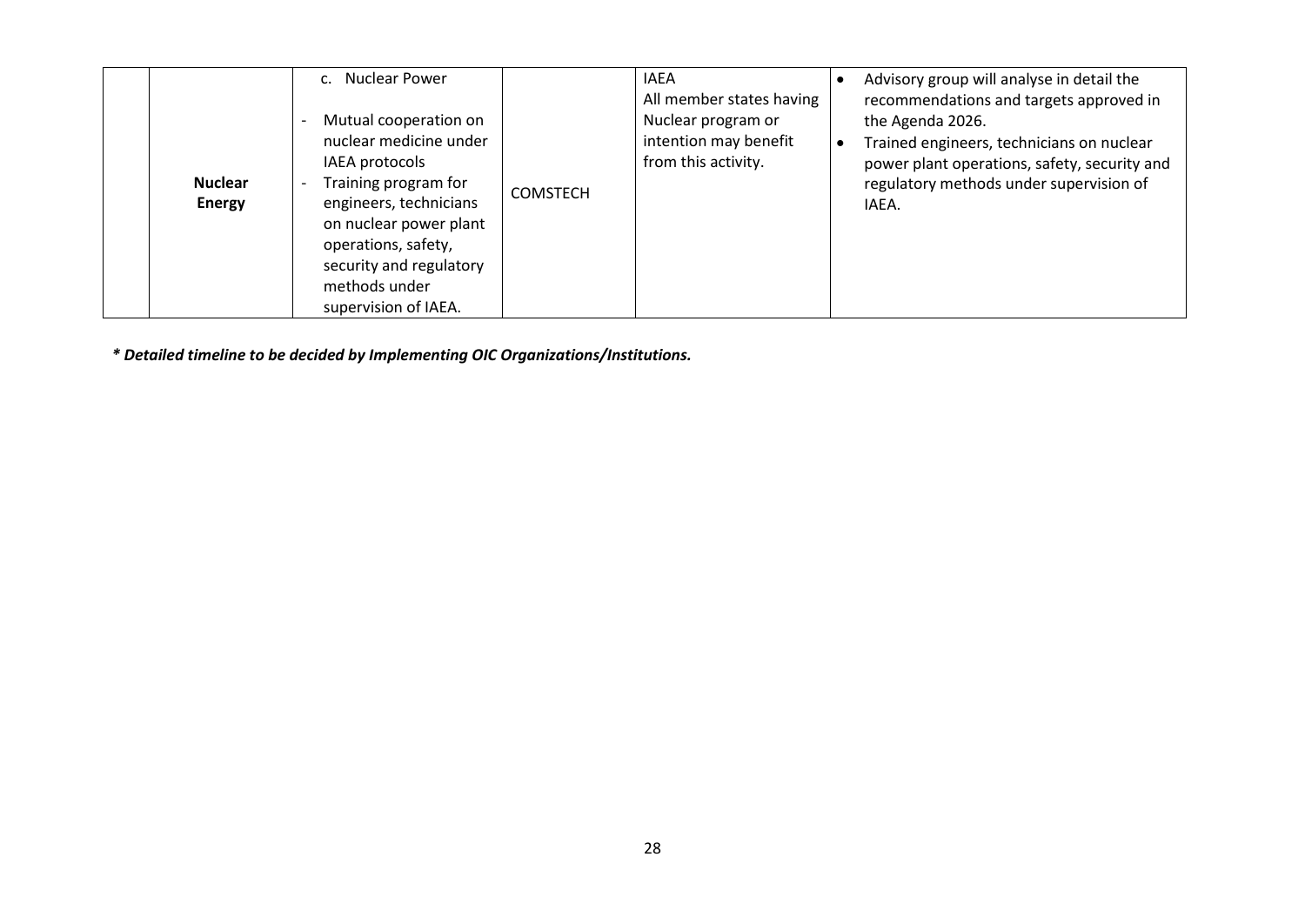| <b>Nuclear</b><br><b>Energy</b> | Nuclear Power<br>$\mathsf{C}$ .<br>Mutual cooperation on<br>nuclear medicine under<br>IAEA protocols<br>Training program for<br>engineers, technicians<br>on nuclear power plant<br>operations, safety,<br>security and regulatory<br>methods under | <b>COMSTECH</b> | <b>IAEA</b><br>All member states having<br>Nuclear program or<br>intention may benefit<br>from this activity. | Advisory group will analyse in detail the<br>recommendations and targets approved in<br>the Agenda 2026.<br>Trained engineers, technicians on nuclear<br>power plant operations, safety, security and<br>regulatory methods under supervision of<br>IAEA. |
|---------------------------------|-----------------------------------------------------------------------------------------------------------------------------------------------------------------------------------------------------------------------------------------------------|-----------------|---------------------------------------------------------------------------------------------------------------|-----------------------------------------------------------------------------------------------------------------------------------------------------------------------------------------------------------------------------------------------------------|
|                                 | supervision of IAEA.                                                                                                                                                                                                                                |                 |                                                                                                               |                                                                                                                                                                                                                                                           |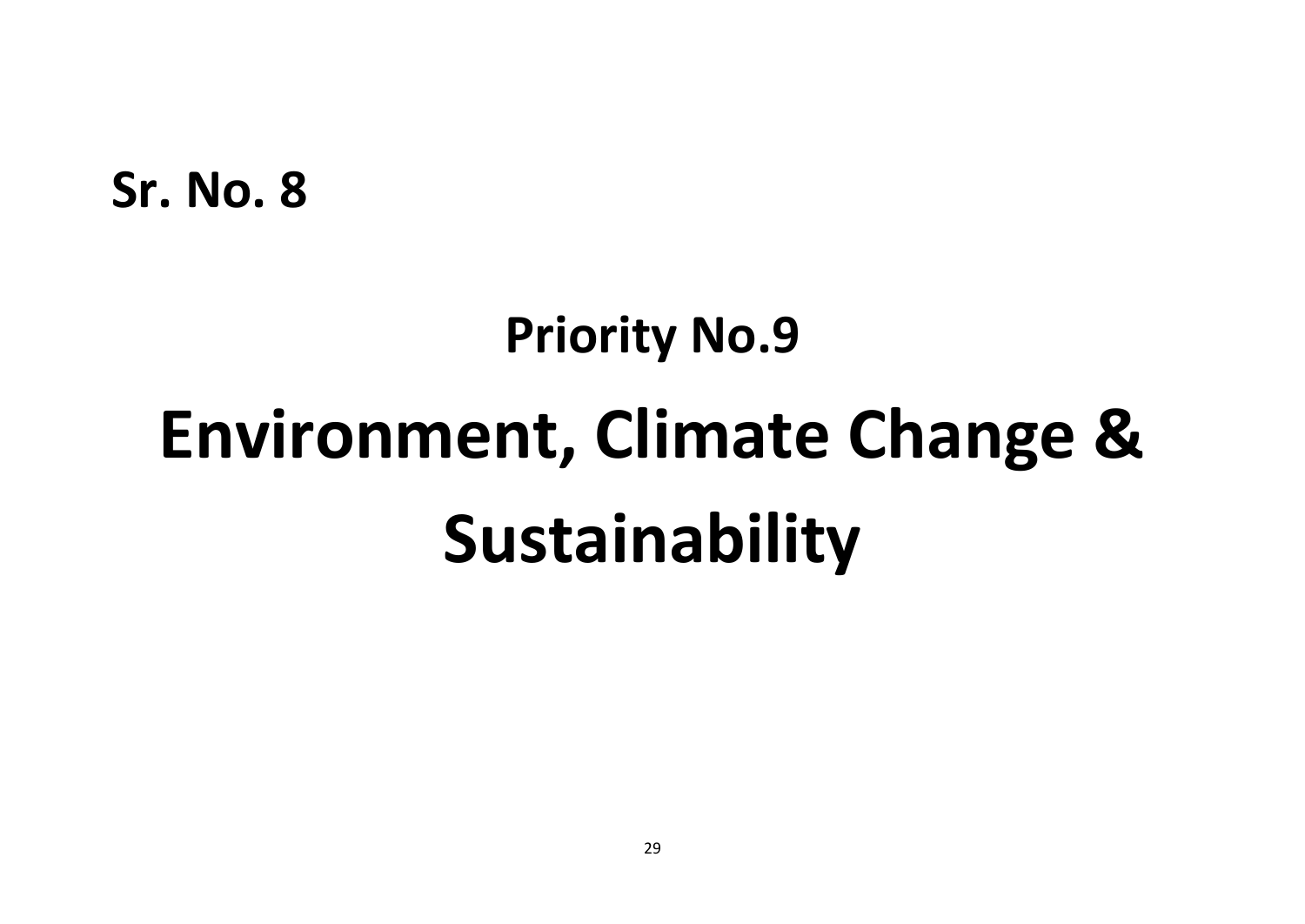# **Priority No.9 Environment, Climate Change & Sustainability**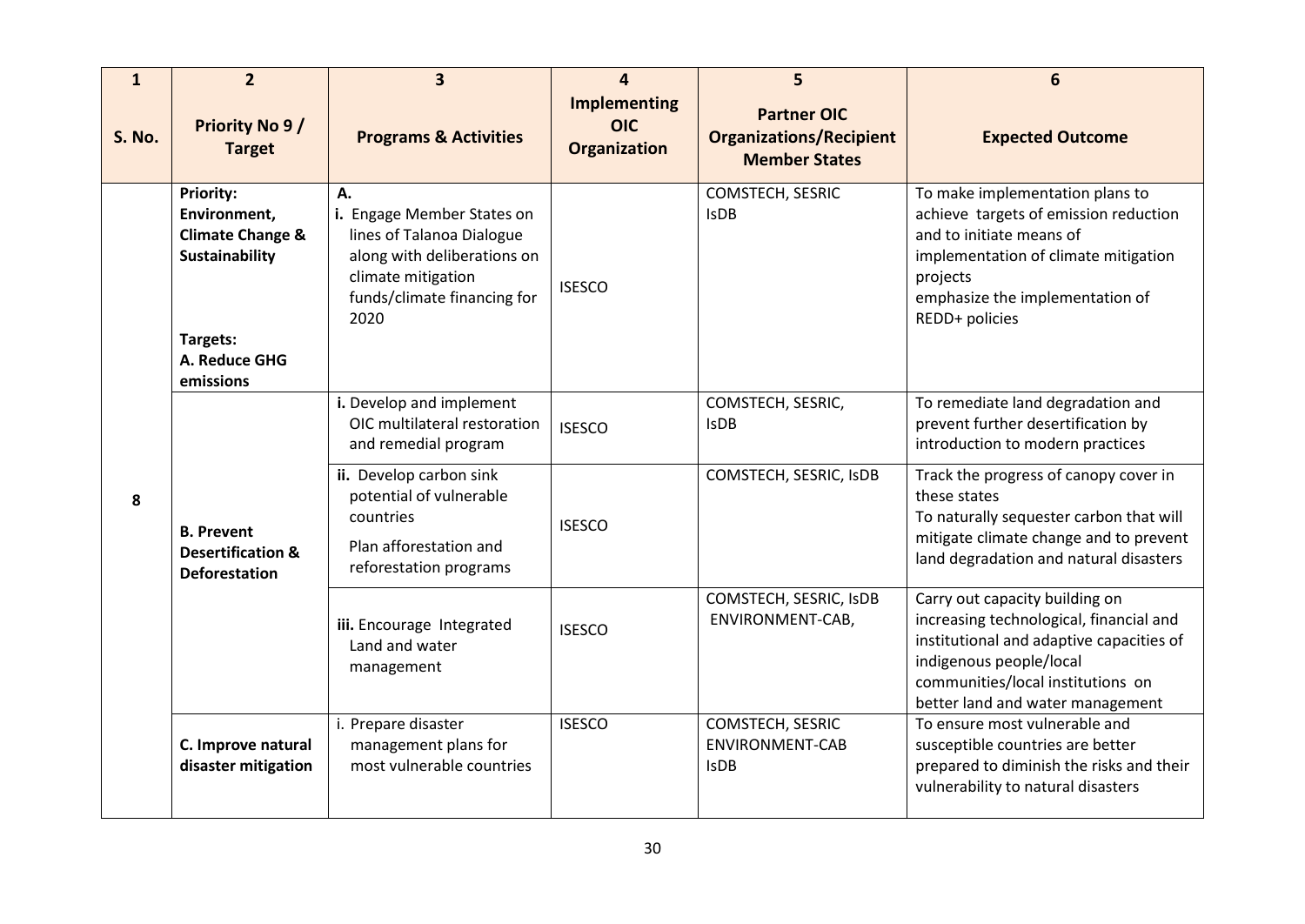| $\mathbf{1}$  | $\overline{2}$                                                                                                 | $\overline{\mathbf{3}}$                                                                                                                                   | 4                                                        | 5                                                                            | 6                                                                                                                                                                                                                         |
|---------------|----------------------------------------------------------------------------------------------------------------|-----------------------------------------------------------------------------------------------------------------------------------------------------------|----------------------------------------------------------|------------------------------------------------------------------------------|---------------------------------------------------------------------------------------------------------------------------------------------------------------------------------------------------------------------------|
| <b>S. No.</b> | <b>Priority No 9/</b><br><b>Target</b>                                                                         | <b>Programs &amp; Activities</b>                                                                                                                          | <b>Implementing</b><br><b>OIC</b><br><b>Organization</b> | <b>Partner OIC</b><br><b>Organizations/Recipient</b><br><b>Member States</b> | <b>Expected Outcome</b>                                                                                                                                                                                                   |
|               | <b>Priority:</b><br>Environment,<br><b>Climate Change &amp;</b><br>Sustainability<br>Targets:<br>A. Reduce GHG | Α.<br>i. Engage Member States on<br>lines of Talanoa Dialogue<br>along with deliberations on<br>climate mitigation<br>funds/climate financing for<br>2020 | <b>ISESCO</b>                                            | COMSTECH, SESRIC<br><b>IsDB</b>                                              | To make implementation plans to<br>achieve targets of emission reduction<br>and to initiate means of<br>implementation of climate mitigation<br>projects<br>emphasize the implementation of<br>REDD+ policies             |
|               | emissions                                                                                                      | i. Develop and implement<br>OIC multilateral restoration<br>and remedial program                                                                          | <b>ISESCO</b>                                            | COMSTECH, SESRIC,<br><b>IsDB</b>                                             | To remediate land degradation and<br>prevent further desertification by<br>introduction to modern practices                                                                                                               |
| 8             | <b>B. Prevent</b><br><b>Desertification &amp;</b><br><b>Deforestation</b>                                      | ii. Develop carbon sink<br>potential of vulnerable<br>countries<br>Plan afforestation and<br>reforestation programs                                       | <b>ISESCO</b>                                            | COMSTECH, SESRIC, ISDB                                                       | Track the progress of canopy cover in<br>these states<br>To naturally sequester carbon that will<br>mitigate climate change and to prevent<br>land degradation and natural disasters                                      |
|               |                                                                                                                | iii. Encourage Integrated<br>Land and water<br>management                                                                                                 | <b>ISESCO</b>                                            | COMSTECH, SESRIC, ISDB<br>ENVIRONMENT-CAB,                                   | Carry out capacity building on<br>increasing technological, financial and<br>institutional and adaptive capacities of<br>indigenous people/local<br>communities/local institutions on<br>better land and water management |
|               | C. Improve natural<br>disaster mitigation                                                                      | i. Prepare disaster<br>management plans for<br>most vulnerable countries                                                                                  | <b>ISESCO</b>                                            | COMSTECH, SESRIC<br><b>ENVIRONMENT-CAB</b><br><b>IsDB</b>                    | To ensure most vulnerable and<br>susceptible countries are better<br>prepared to diminish the risks and their<br>vulnerability to natural disasters                                                                       |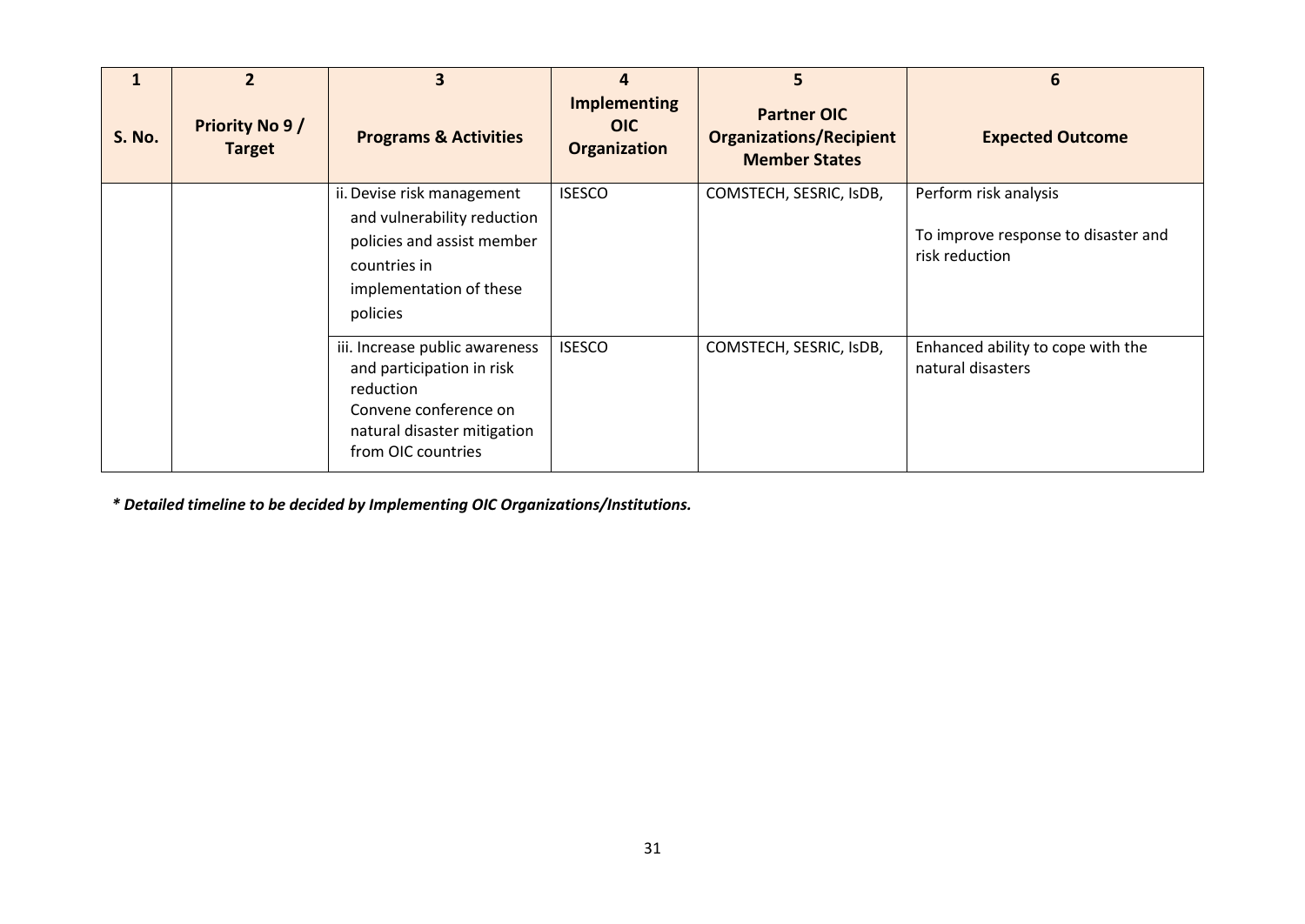|               | $\overline{2}$                         | 3                                                                                                                                                      | 4                                                        | 5                                                                            | 6                                                                              |
|---------------|----------------------------------------|--------------------------------------------------------------------------------------------------------------------------------------------------------|----------------------------------------------------------|------------------------------------------------------------------------------|--------------------------------------------------------------------------------|
| <b>S. No.</b> | <b>Priority No 9/</b><br><b>Target</b> | <b>Programs &amp; Activities</b>                                                                                                                       | <b>Implementing</b><br><b>OIC</b><br><b>Organization</b> | <b>Partner OIC</b><br><b>Organizations/Recipient</b><br><b>Member States</b> | <b>Expected Outcome</b>                                                        |
|               |                                        | ii. Devise risk management<br>and vulnerability reduction<br>policies and assist member<br>countries in<br>implementation of these<br>policies         | <b>ISESCO</b>                                            | COMSTECH, SESRIC, ISDB,                                                      | Perform risk analysis<br>To improve response to disaster and<br>risk reduction |
|               |                                        | iii. Increase public awareness<br>and participation in risk<br>reduction<br>Convene conference on<br>natural disaster mitigation<br>from OIC countries | <b>ISESCO</b>                                            | COMSTECH, SESRIC, ISDB,                                                      | Enhanced ability to cope with the<br>natural disasters                         |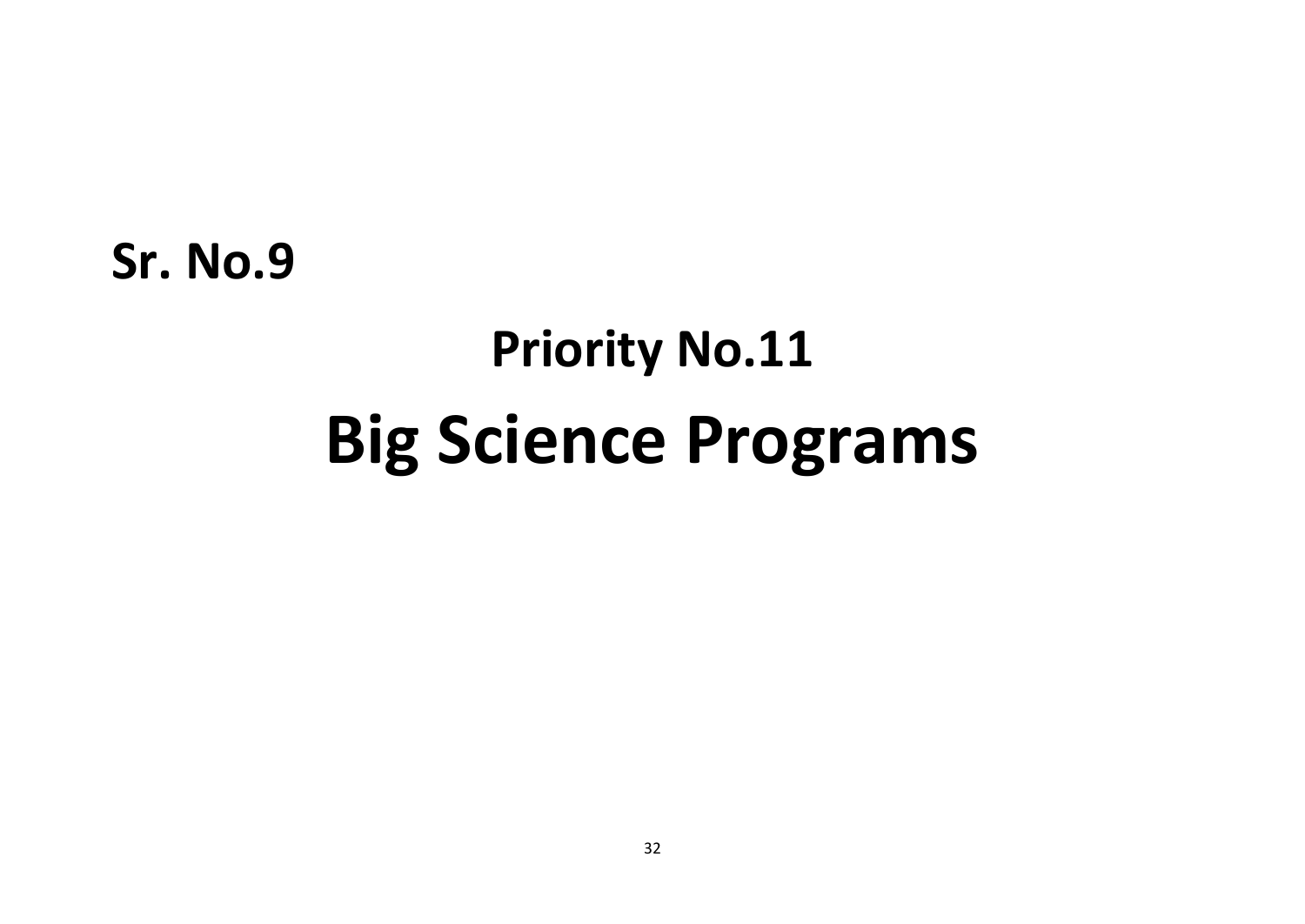## **Priority No.11 Big Science Programs**